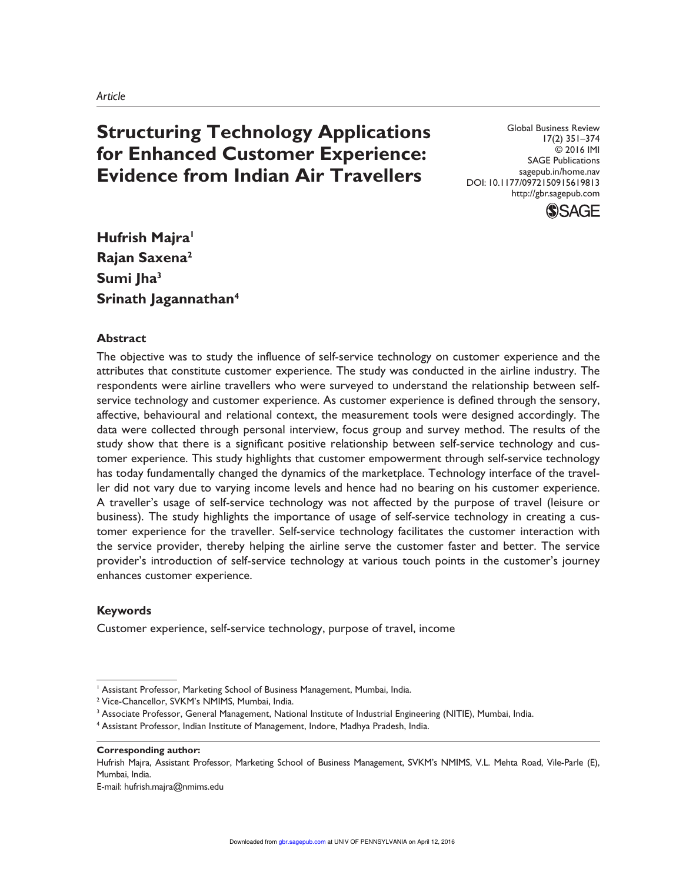# **Structuring Technology Applications for Enhanced Customer Experience: Evidence from Indian Air Travellers**

Global Business Review 17(2) 351–374 © 2016 IMI SAGE Publications sagepub.in/home.nav DOI: 10.1177/0972150915619813 http://gbr.sagepub.com



**Hufrish Majra<sup>1</sup> Rajan Saxena<sup>2</sup> Sumi Jha<sup>3</sup> Srinath Jagannathan<sup>4</sup>**

## **Abstract**

The objective was to study the influence of self-service technology on customer experience and the attributes that constitute customer experience. The study was conducted in the airline industry. The respondents were airline travellers who were surveyed to understand the relationship between selfservice technology and customer experience. As customer experience is defined through the sensory, affective, behavioural and relational context, the measurement tools were designed accordingly. The data were collected through personal interview, focus group and survey method. The results of the study show that there is a significant positive relationship between self-service technology and customer experience. This study highlights that customer empowerment through self-service technology has today fundamentally changed the dynamics of the marketplace. Technology interface of the traveller did not vary due to varying income levels and hence had no bearing on his customer experience. A traveller's usage of self-service technology was not affected by the purpose of travel (leisure or business). The study highlights the importance of usage of self-service technology in creating a customer experience for the traveller. Self-service technology facilitates the customer interaction with the service provider, thereby helping the airline serve the customer faster and better. The service provider's introduction of self-service technology at various touch points in the customer's journey enhances customer experience.

# **Keywords**

Customer experience, self-service technology, purpose of travel, income

#### **Corresponding author:**

Hufrish Majra, Assistant Professor, Marketing School of Business Management, SVKM's NMIMS, V.L. Mehta Road, Vile-Parle (E), Mumbai, India.

E-mail: hufrish.majra@nmims.edu

<sup>1</sup> Assistant Professor, Marketing School of Business Management, Mumbai, India.

<sup>2</sup> Vice-Chancellor, SVKM's NMIMS, Mumbai, India.

<sup>&</sup>lt;sup>3</sup> Associate Professor, General Management, National Institute of Industrial Engineering (NITIE), Mumbai, India.

<sup>4</sup> Assistant Professor, Indian Institute of Management, Indore, Madhya Pradesh, India.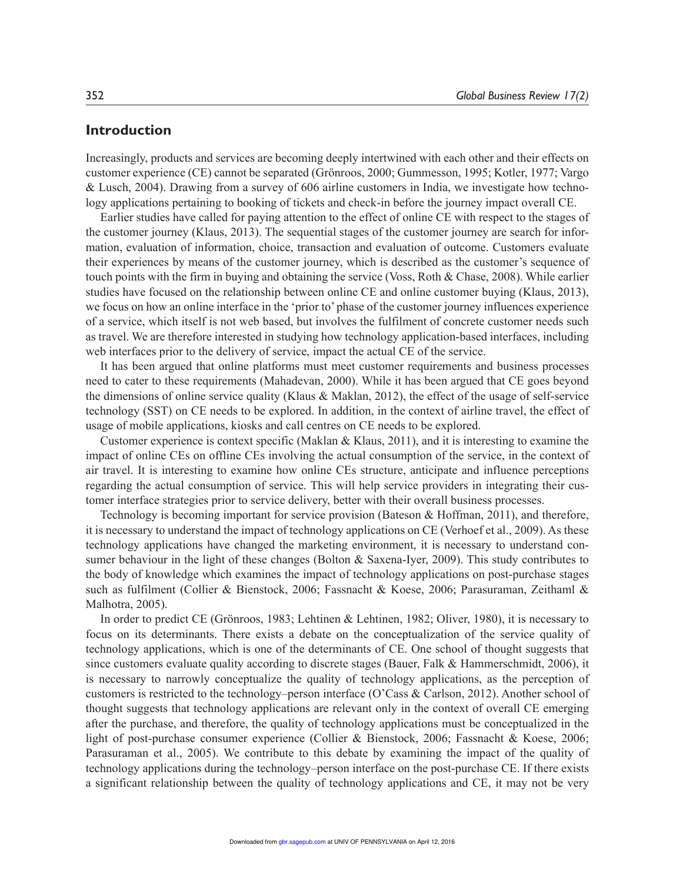# **Introduction**

Increasingly, products and services are becoming deeply intertwined with each other and their effects on customer experience (CE) cannot be separated (Grönroos, 2000; Gummesson, 1995; Kotler, 1977; Vargo & Lusch, 2004). Drawing from a survey of 606 airline customers in India, we investigate how technology applications pertaining to booking of tickets and check-in before the journey impact overall CE.

Earlier studies have called for paying attention to the effect of online CE with respect to the stages of the customer journey (Klaus, 2013). The sequential stages of the customer journey are search for information, evaluation of information, choice, transaction and evaluation of outcome. Customers evaluate their experiences by means of the customer journey, which is described as the customer's sequence of touch points with the firm in buying and obtaining the service (Voss, Roth & Chase, 2008). While earlier studies have focused on the relationship between online CE and online customer buying (Klaus, 2013), we focus on how an online interface in the 'prior to' phase of the customer journey influences experience of a service, which itself is not web based, but involves the fulfilment of concrete customer needs such as travel. We are therefore interested in studying how technology application-based interfaces, including web interfaces prior to the delivery of service, impact the actual CE of the service.

It has been argued that online platforms must meet customer requirements and business processes need to cater to these requirements (Mahadevan, 2000). While it has been argued that CE goes beyond the dimensions of online service quality (Klaus & Maklan, 2012), the effect of the usage of self-service technology (SST) on CE needs to be explored. In addition, in the context of airline travel, the effect of usage of mobile applications, kiosks and call centres on CE needs to be explored.

Customer experience is context specific (Maklan & Klaus, 2011), and it is interesting to examine the impact of online CEs on offline CEs involving the actual consumption of the service, in the context of air travel. It is interesting to examine how online CEs structure, anticipate and influence perceptions regarding the actual consumption of service. This will help service providers in integrating their customer interface strategies prior to service delivery, better with their overall business processes.

Technology is becoming important for service provision (Bateson & Hoffman, 2011), and therefore, it is necessary to understand the impact of technology applications on CE (Verhoef et al., 2009). As these technology applications have changed the marketing environment, it is necessary to understand consumer behaviour in the light of these changes (Bolton & Saxena-Iyer, 2009). This study contributes to the body of knowledge which examines the impact of technology applications on post-purchase stages such as fulfilment (Collier & Bienstock, 2006; Fassnacht & Koese, 2006; Parasuraman, Zeithaml & Malhotra, 2005).

In order to predict CE (Grönroos, 1983; Lehtinen & Lehtinen, 1982; Oliver, 1980), it is necessary to focus on its determinants. There exists a debate on the conceptualization of the service quality of technology applications, which is one of the determinants of CE. One school of thought suggests that since customers evaluate quality according to discrete stages (Bauer, Falk & Hammerschmidt, 2006), it is necessary to narrowly conceptualize the quality of technology applications, as the perception of customers is restricted to the technology–person interface (O'Cass & Carlson, 2012). Another school of thought suggests that technology applications are relevant only in the context of overall CE emerging after the purchase, and therefore, the quality of technology applications must be conceptualized in the light of post-purchase consumer experience (Collier & Bienstock, 2006; Fassnacht & Koese, 2006; Parasuraman et al., 2005). We contribute to this debate by examining the impact of the quality of technology applications during the technology–person interface on the post-purchase CE. If there exists a significant relationship between the quality of technology applications and CE, it may not be very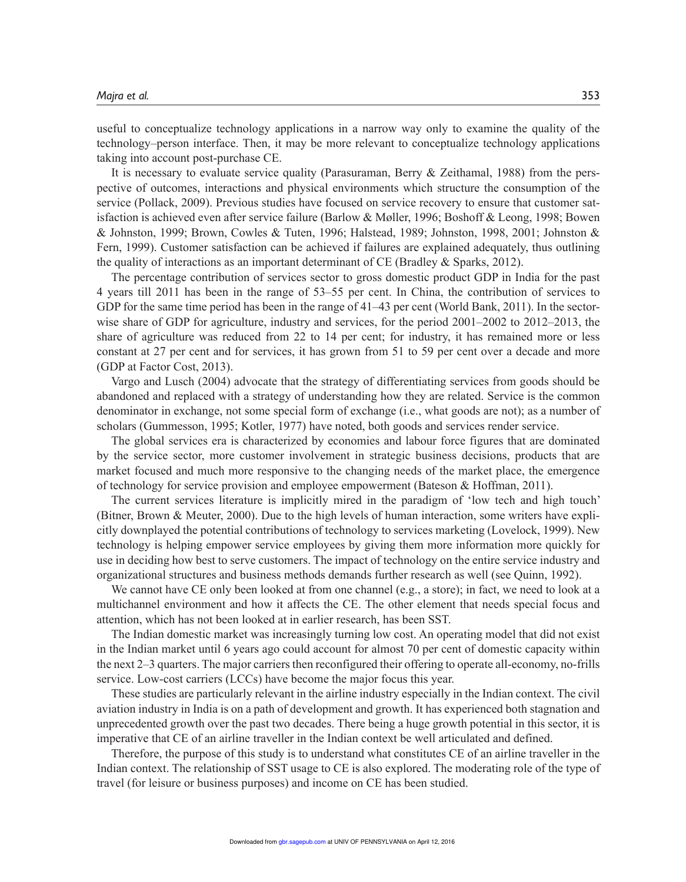useful to conceptualize technology applications in a narrow way only to examine the quality of the technology–person interface. Then, it may be more relevant to conceptualize technology applications taking into account post-purchase CE.

It is necessary to evaluate service quality (Parasuraman, Berry & Zeithamal, 1988) from the perspective of outcomes, interactions and physical environments which structure the consumption of the service (Pollack, 2009). Previous studies have focused on service recovery to ensure that customer satisfaction is achieved even after service failure (Barlow & Møller, 1996; Boshoff & Leong, 1998; Bowen & Johnston, 1999; Brown, Cowles & Tuten, 1996; Halstead, 1989; Johnston, 1998, 2001; Johnston & Fern, 1999). Customer satisfaction can be achieved if failures are explained adequately, thus outlining the quality of interactions as an important determinant of CE (Bradley & Sparks, 2012).

The percentage contribution of services sector to gross domestic product GDP in India for the past 4 years till 2011 has been in the range of 53–55 per cent. In China, the contribution of services to GDP for the same time period has been in the range of  $41-43$  per cent (World Bank, 2011). In the sectorwise share of GDP for agriculture, industry and services, for the period  $2001-2002$  to  $2012-2013$ , the share of agriculture was reduced from 22 to 14 per cent; for industry, it has remained more or less constant at 27 per cent and for services, it has grown from 51 to 59 per cent over a decade and more (GDP at Factor Cost, 2013).

Vargo and Lusch (2004) advocate that the strategy of differentiating services from goods should be abandoned and replaced with a strategy of understanding how they are related. Service is the common denominator in exchange, not some special form of exchange (i.e., what goods are not); as a number of scholars (Gummesson, 1995; Kotler, 1977) have noted, both goods and services render service.

The global services era is characterized by economies and labour force figures that are dominated by the service sector, more customer involvement in strategic business decisions, products that are market focused and much more responsive to the changing needs of the market place, the emergence of technology for service provision and employee empowerment (Bateson & Hoffman, 2011).

The current services literature is implicitly mired in the paradigm of 'low tech and high touch' (Bitner, Brown & Meuter, 2000). Due to the high levels of human interaction, some writers have explicitly downplayed the potential contributions of technology to services marketing (Lovelock, 1999). New technology is helping empower service employees by giving them more information more quickly for use in deciding how best to serve customers. The impact of technology on the entire service industry and organizational structures and business methods demands further research as well (see Quinn, 1992).

We cannot have CE only been looked at from one channel (e.g., a store); in fact, we need to look at a multichannel environment and how it affects the CE. The other element that needs special focus and attention, which has not been looked at in earlier research, has been SST.

The Indian domestic market was increasingly turning low cost. An operating model that did not exist in the Indian market until 6 years ago could account for almost 70 per cent of domestic capacity within the next 2–3 quarters. The major carriers then reconfigured their offering to operate all-economy, no-frills service. Low-cost carriers (LCCs) have become the major focus this year.

These studies are particularly relevant in the airline industry especially in the Indian context. The civil aviation industry in India is on a path of development and growth. It has experienced both stagnation and unprecedented growth over the past two decades. There being a huge growth potential in this sector, it is imperative that CE of an airline traveller in the Indian context be well articulated and defined.

Therefore, the purpose of this study is to understand what constitutes CE of an airline traveller in the Indian context. The relationship of SST usage to CE is also explored. The moderating role of the type of travel (for leisure or business purposes) and income on CE has been studied.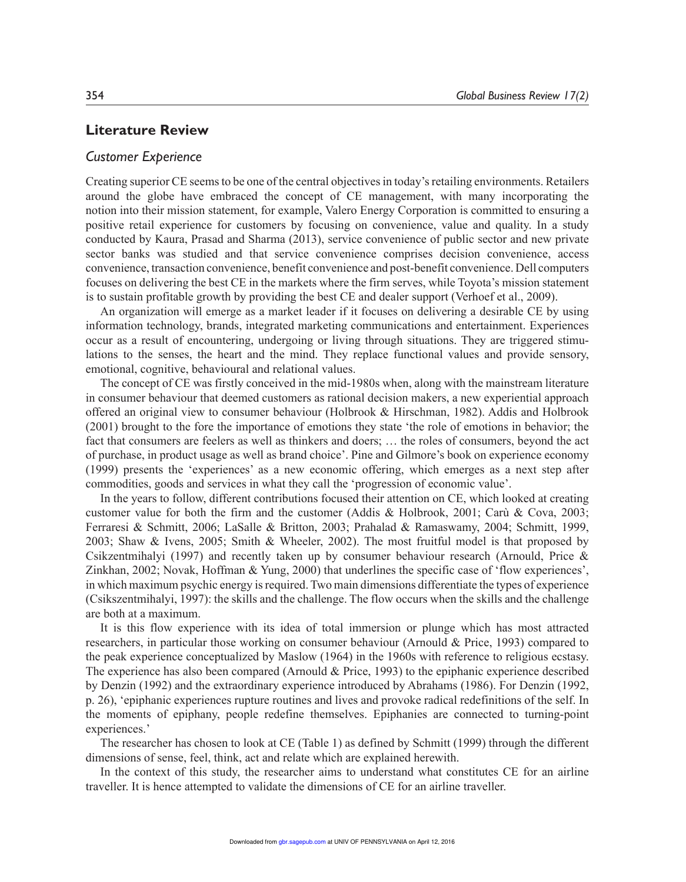## **Literature Review**

## *Customer Experience*

Creating superior CE seems to be one of the central objectives in today's retailing environments. Retailers around the globe have embraced the concept of CE management, with many incorporating the notion into their mission statement, for example, Valero Energy Corporation is committed to ensuring a positive retail experience for customers by focusing on convenience, value and quality. In a study conducted by Kaura, Prasad and Sharma (2013), service convenience of public sector and new private sector banks was studied and that service convenience comprises decision convenience, access convenience, transaction convenience, benefit convenience and post-benefit convenience. Dell computers focuses on delivering the best CE in the markets where the firm serves, while Toyota's mission statement is to sustain profitable growth by providing the best CE and dealer support (Verhoef et al., 2009).

An organization will emerge as a market leader if it focuses on delivering a desirable CE by using information technology, brands, integrated marketing communications and entertainment. Experiences occur as a result of encountering, undergoing or living through situations. They are triggered stimulations to the senses, the heart and the mind. They replace functional values and provide sensory, emotional, cognitive, behavioural and relational values.

The concept of CE was firstly conceived in the mid-1980s when, along with the mainstream literature in consumer behaviour that deemed customers as rational decision makers, a new experiential approach offered an original view to consumer behaviour (Holbrook & Hirschman, 1982). Addis and Holbrook (2001) brought to the fore the importance of emotions they state 'the role of emotions in behavior; the fact that consumers are feelers as well as thinkers and doers; … the roles of consumers, beyond the act of purchase, in product usage as well as brand choice'. Pine and Gilmore's book on experience economy (1999) presents the 'experiences' as a new economic offering, which emerges as a next step after commodities, goods and services in what they call the 'progression of economic value'.

In the years to follow, different contributions focused their attention on CE, which looked at creating customer value for both the firm and the customer (Addis & Holbrook, 2001; Carù & Cova, 2003; Ferraresi & Schmitt, 2006; LaSalle & Britton, 2003; Prahalad & Ramaswamy, 2004; Schmitt, 1999, 2003; Shaw & Ivens, 2005; Smith & Wheeler, 2002). The most fruitful model is that proposed by Csikzentmihalyi (1997) and recently taken up by consumer behaviour research (Arnould, Price & Zinkhan, 2002; Novak, Hoffman & Yung, 2000) that underlines the specific case of 'flow experiences', in which maximum psychic energy is required. Two main dimensions differentiate the types of experience (Csikszentmihalyi, 1997): the skills and the challenge. The flow occurs when the skills and the challenge are both at a maximum.

It is this flow experience with its idea of total immersion or plunge which has most attracted researchers, in particular those working on consumer behaviour (Arnould & Price, 1993) compared to the peak experience conceptualized by Maslow (1964) in the 1960s with reference to religious ecstasy. The experience has also been compared (Arnould & Price, 1993) to the epiphanic experience described by Denzin (1992) and the extraordinary experience introduced by Abrahams (1986). For Denzin (1992, p. 26), 'epiphanic experiences rupture routines and lives and provoke radical redefinitions of the self. In the moments of epiphany, people redefine themselves. Epiphanies are connected to turning-point experiences.'

The researcher has chosen to look at CE (Table 1) as defined by Schmitt (1999) through the different dimensions of sense, feel, think, act and relate which are explained herewith.

In the context of this study, the researcher aims to understand what constitutes CE for an airline traveller. It is hence attempted to validate the dimensions of CE for an airline traveller.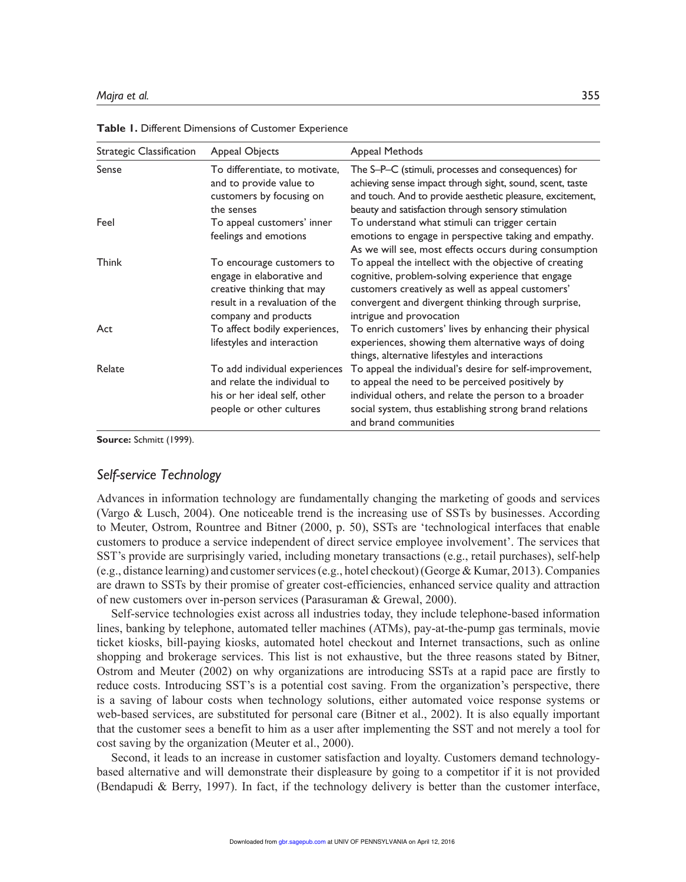| Strategic Classification | Appeal Objects                                                                                                                                 | Appeal Methods                                                                                                                                                                                                                                           |
|--------------------------|------------------------------------------------------------------------------------------------------------------------------------------------|----------------------------------------------------------------------------------------------------------------------------------------------------------------------------------------------------------------------------------------------------------|
| Sense                    | To differentiate, to motivate,<br>and to provide value to<br>customers by focusing on<br>the senses                                            | The S-P-C (stimuli, processes and consequences) for<br>achieving sense impact through sight, sound, scent, taste<br>and touch. And to provide aesthetic pleasure, excitement,<br>beauty and satisfaction through sensory stimulation                     |
| Feel                     | To appeal customers' inner<br>feelings and emotions                                                                                            | To understand what stimuli can trigger certain<br>emotions to engage in perspective taking and empathy.<br>As we will see, most effects occurs during consumption                                                                                        |
| <b>Think</b>             | To encourage customers to<br>engage in elaborative and<br>creative thinking that may<br>result in a revaluation of the<br>company and products | To appeal the intellect with the objective of creating<br>cognitive, problem-solving experience that engage<br>customers creatively as well as appeal customers'<br>convergent and divergent thinking through surprise,<br>intrigue and provocation      |
| Act                      | To affect bodily experiences,<br>lifestyles and interaction                                                                                    | To enrich customers' lives by enhancing their physical<br>experiences, showing them alternative ways of doing<br>things, alternative lifestyles and interactions                                                                                         |
| Relate                   | To add individual experiences<br>and relate the individual to<br>his or her ideal self, other<br>people or other cultures                      | To appeal the individual's desire for self-improvement,<br>to appeal the need to be perceived positively by<br>individual others, and relate the person to a broader<br>social system, thus establishing strong brand relations<br>and brand communities |

**Table 1.** Different Dimensions of Customer Experience

**Source:** Schmitt (1999).

## *Self-service Technology*

Advances in information technology are fundamentally changing the marketing of goods and services (Vargo & Lusch, 2004). One noticeable trend is the increasing use of SSTs by businesses. According to Meuter, Ostrom, Rountree and Bitner (2000, p. 50), SSTs are 'technological interfaces that enable customers to produce a service independent of direct service employee involvement'. The services that SST's provide are surprisingly varied, including monetary transactions (e.g., retail purchases), self-help (e.g., distance learning) and customer services (e.g., hotel checkout) (George & Kumar, 2013). Companies are drawn to SSTs by their promise of greater cost-efficiencies, enhanced service quality and attraction of new customers over in-person services (Parasuraman & Grewal, 2000).

Self-service technologies exist across all industries today, they include telephone-based information lines, banking by telephone, automated teller machines (ATMs), pay-at-the-pump gas terminals, movie ticket kiosks, bill-paying kiosks, automated hotel checkout and Internet transactions, such as online shopping and brokerage services. This list is not exhaustive, but the three reasons stated by Bitner, Ostrom and Meuter (2002) on why organizations are introducing SSTs at a rapid pace are firstly to reduce costs. Introducing SST's is a potential cost saving. From the organization's perspective, there is a saving of labour costs when technology solutions, either automated voice response systems or web-based services, are substituted for personal care (Bitner et al., 2002). It is also equally important that the customer sees a benefit to him as a user after implementing the SST and not merely a tool for cost saving by the organization (Meuter et al., 2000).

Second, it leads to an increase in customer satisfaction and loyalty. Customers demand technologybased alternative and will demonstrate their displeasure by going to a competitor if it is not provided (Bendapudi & Berry, 1997). In fact, if the technology delivery is better than the customer interface,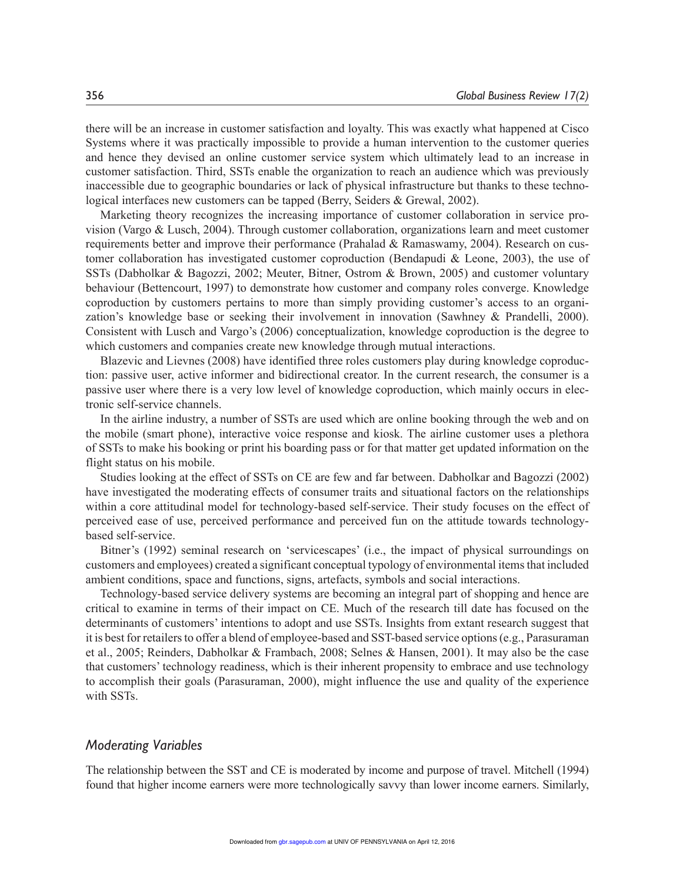there will be an increase in customer satisfaction and loyalty. This was exactly what happened at Cisco Systems where it was practically impossible to provide a human intervention to the customer queries and hence they devised an online customer service system which ultimately lead to an increase in customer satisfaction. Third, SSTs enable the organization to reach an audience which was previously inaccessible due to geographic boundaries or lack of physical infrastructure but thanks to these technological interfaces new customers can be tapped (Berry, Seiders & Grewal, 2002).

Marketing theory recognizes the increasing importance of customer collaboration in service provision (Vargo & Lusch, 2004). Through customer collaboration, organizations learn and meet customer requirements better and improve their performance (Prahalad & Ramaswamy, 2004). Research on customer collaboration has investigated customer coproduction (Bendapudi & Leone, 2003), the use of SSTs (Dabholkar & Bagozzi, 2002; Meuter, Bitner, Ostrom & Brown, 2005) and customer voluntary behaviour (Bettencourt, 1997) to demonstrate how customer and company roles converge. Knowledge coproduction by customers pertains to more than simply providing customer's access to an organization's knowledge base or seeking their involvement in innovation (Sawhney & Prandelli, 2000). Consistent with Lusch and Vargo's (2006) conceptualization, knowledge coproduction is the degree to which customers and companies create new knowledge through mutual interactions.

Blazevic and Lievnes (2008) have identified three roles customers play during knowledge coproduction: passive user, active informer and bidirectional creator. In the current research, the consumer is a passive user where there is a very low level of knowledge coproduction, which mainly occurs in electronic self-service channels.

In the airline industry, a number of SSTs are used which are online booking through the web and on the mobile (smart phone), interactive voice response and kiosk. The airline customer uses a plethora of SSTs to make his booking or print his boarding pass or for that matter get updated information on the flight status on his mobile.

Studies looking at the effect of SSTs on CE are few and far between. Dabholkar and Bagozzi (2002) have investigated the moderating effects of consumer traits and situational factors on the relationships within a core attitudinal model for technology-based self-service. Their study focuses on the effect of perceived ease of use, perceived performance and perceived fun on the attitude towards technologybased self-service.

Bitner's (1992) seminal research on 'servicescapes' (i.e., the impact of physical surroundings on customers and employees) created a significant conceptual typology of environmental items that included ambient conditions, space and functions, signs, artefacts, symbols and social interactions.

Technology-based service delivery systems are becoming an integral part of shopping and hence are critical to examine in terms of their impact on CE. Much of the research till date has focused on the determinants of customers' intentions to adopt and use SSTs. Insights from extant research suggest that it is best for retailers to offer a blend of employee-based and SST-based service options (e.g., Parasuraman et al., 2005; Reinders, Dabholkar & Frambach, 2008; Selnes & Hansen, 2001). It may also be the case that customers' technology readiness, which is their inherent propensity to embrace and use technology to accomplish their goals (Parasuraman, 2000), might influence the use and quality of the experience with SSTs.

## *Moderating Variables*

The relationship between the SST and CE is moderated by income and purpose of travel. Mitchell (1994) found that higher income earners were more technologically savvy than lower income earners. Similarly,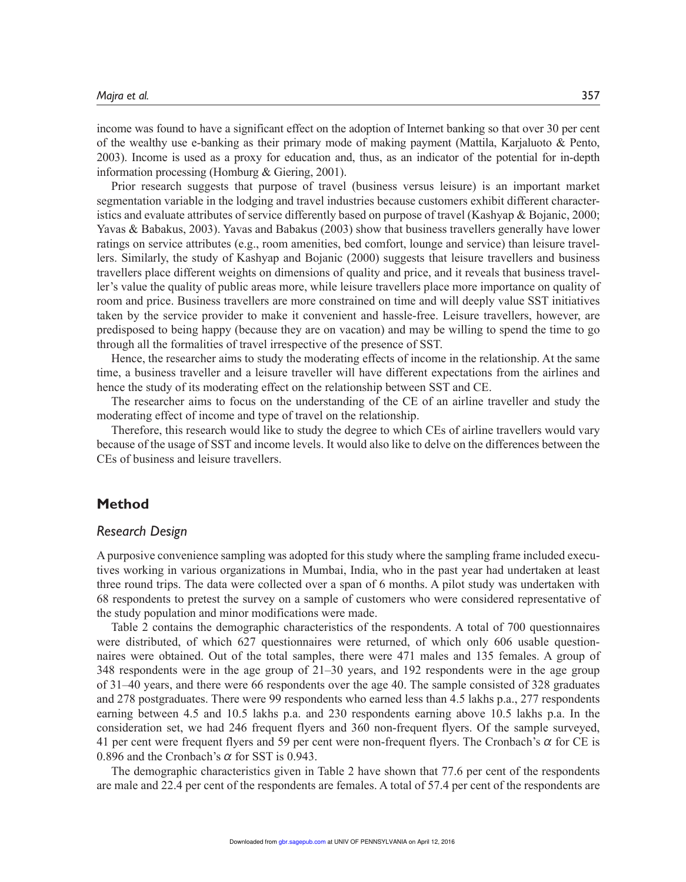income was found to have a significant effect on the adoption of Internet banking so that over 30 per cent of the wealthy use e-banking as their primary mode of making payment (Mattila, Karjaluoto & Pento, 2003). Income is used as a proxy for education and, thus, as an indicator of the potential for in-depth information processing (Homburg & Giering, 2001).

Prior research suggests that purpose of travel (business versus leisure) is an important market segmentation variable in the lodging and travel industries because customers exhibit different characteristics and evaluate attributes of service differently based on purpose of travel (Kashyap & Bojanic, 2000; Yavas & Babakus, 2003). Yavas and Babakus (2003) show that business travellers generally have lower ratings on service attributes (e.g., room amenities, bed comfort, lounge and service) than leisure travellers. Similarly, the study of Kashyap and Bojanic (2000) suggests that leisure travellers and business travellers place different weights on dimensions of quality and price, and it reveals that business traveller's value the quality of public areas more, while leisure travellers place more importance on quality of room and price. Business travellers are more constrained on time and will deeply value SST initiatives taken by the service provider to make it convenient and hassle-free. Leisure travellers, however, are predisposed to being happy (because they are on vacation) and may be willing to spend the time to go through all the formalities of travel irrespective of the presence of SST.

Hence, the researcher aims to study the moderating effects of income in the relationship. At the same time, a business traveller and a leisure traveller will have different expectations from the airlines and hence the study of its moderating effect on the relationship between SST and CE.

The researcher aims to focus on the understanding of the CE of an airline traveller and study the moderating effect of income and type of travel on the relationship.

Therefore, this research would like to study the degree to which CEs of airline travellers would vary because of the usage of SST and income levels. It would also like to delve on the differences between the CEs of business and leisure travellers.

## **Method**

## *Research Design*

A purposive convenience sampling was adopted for this study where the sampling frame included executives working in various organizations in Mumbai, India, who in the past year had undertaken at least three round trips. The data were collected over a span of 6 months. A pilot study was undertaken with 68 respondents to pretest the survey on a sample of customers who were considered representative of the study population and minor modifications were made.

Table 2 contains the demographic characteristics of the respondents. A total of 700 questionnaires were distributed, of which 627 questionnaires were returned, of which only 606 usable questionnaires were obtained. Out of the total samples, there were 471 males and 135 females. A group of 348 respondents were in the age group of 21–30 years, and 192 respondents were in the age group of 31–40 years, and there were 66 respondents over the age 40. The sample consisted of 328 graduates and 278 postgraduates. There were 99 respondents who earned less than 4.5 lakhs p.a., 277 respondents earning between 4.5 and 10.5 lakhs p.a. and 230 respondents earning above 10.5 lakhs p.a. In the consideration set, we had 246 frequent flyers and 360 non-frequent flyers. Of the sample surveyed, 41 per cent were frequent flyers and 59 per cent were non-frequent flyers. The Cronbach's  $\alpha$  for CE is 0.896 and the Cronbach's  $\alpha$  for SST is 0.943.

The demographic characteristics given in Table 2 have shown that 77.6 per cent of the respondents are male and 22.4 per cent of the respondents are females. A total of 57.4 per cent of the respondents are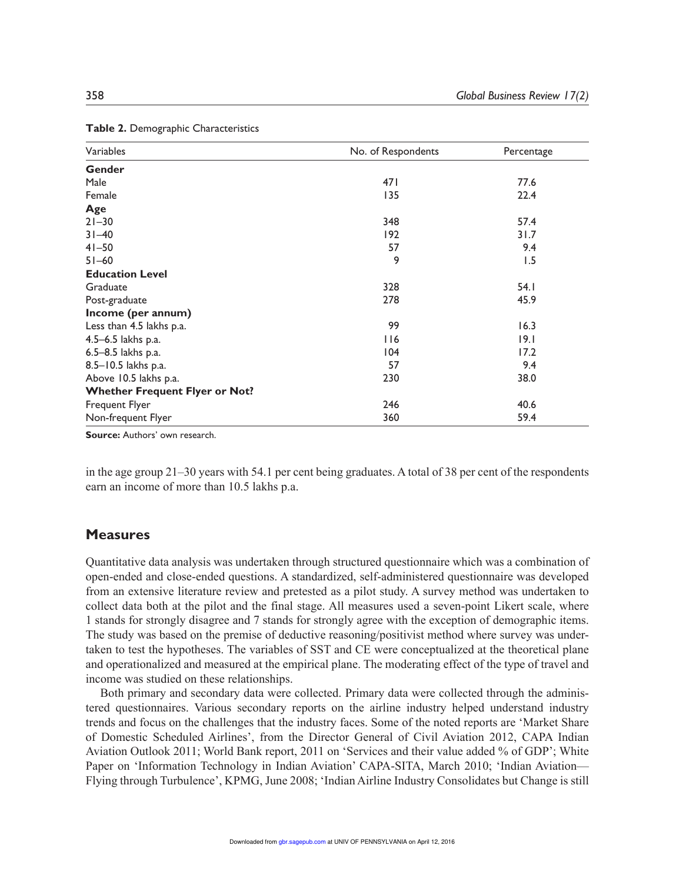| Variables                             | No. of Respondents | Percentage |
|---------------------------------------|--------------------|------------|
| Gender                                |                    |            |
| Male                                  | 471                | 77.6       |
| Female                                | 135                | 22.4       |
| Age                                   |                    |            |
| $21 - 30$                             | 348                | 57.4       |
| $31 - 40$                             | 192                | 31.7       |
| $41 - 50$                             | 57                 | 9.4        |
| $51 - 60$                             | 9                  | 1.5        |
| <b>Education Level</b>                |                    |            |
| Graduate                              | 328                | 54.1       |
| Post-graduate                         | 278                | 45.9       |
| Income (per annum)                    |                    |            |
| Less than 4.5 lakhs p.a.              | 99                 | 16.3       |
| 4.5-6.5 lakhs p.a.                    | 116                | 19.1       |
| 6.5-8.5 lakhs p.a.                    | 104                | 17.2       |
| 8.5-10.5 lakhs p.a.                   | 57                 | 9.4        |
| Above 10.5 lakhs p.a.                 | 230                | 38.0       |
| <b>Whether Frequent Flyer or Not?</b> |                    |            |
| Frequent Flyer                        | 246                | 40.6       |
| Non-frequent Flyer                    | 360                | 59.4       |

**Table 2.** Demographic Characteristics

**Source:** Authors' own research.

in the age group 21–30 years with 54.1 per cent being graduates. A total of 38 per cent of the respondents earn an income of more than 10.5 lakhs p.a.

## **Measures**

Quantitative data analysis was undertaken through structured questionnaire which was a combination of open-ended and close-ended questions. A standardized, self-administered questionnaire was developed from an extensive literature review and pretested as a pilot study. A survey method was undertaken to collect data both at the pilot and the final stage. All measures used a seven-point Likert scale, where 1 stands for strongly disagree and 7 stands for strongly agree with the exception of demographic items. The study was based on the premise of deductive reasoning/positivist method where survey was undertaken to test the hypotheses. The variables of SST and CE were conceptualized at the theoretical plane and operationalized and measured at the empirical plane. The moderating effect of the type of travel and income was studied on these relationships.

Both primary and secondary data were collected. Primary data were collected through the administered questionnaires. Various secondary reports on the airline industry helped understand industry trends and focus on the challenges that the industry faces. Some of the noted reports are 'Market Share of Domestic Scheduled Airlines', from the Director General of Civil Aviation 2012, CAPA Indian Aviation Outlook 2011; World Bank report, 2011 on 'Services and their value added % of GDP'; White Paper on 'Information Technology in Indian Aviation' CAPA-SITA, March 2010; 'Indian Aviation— Flying through Turbulence', KPMG, June 2008; 'Indian Airline Industry Consolidates but Change is still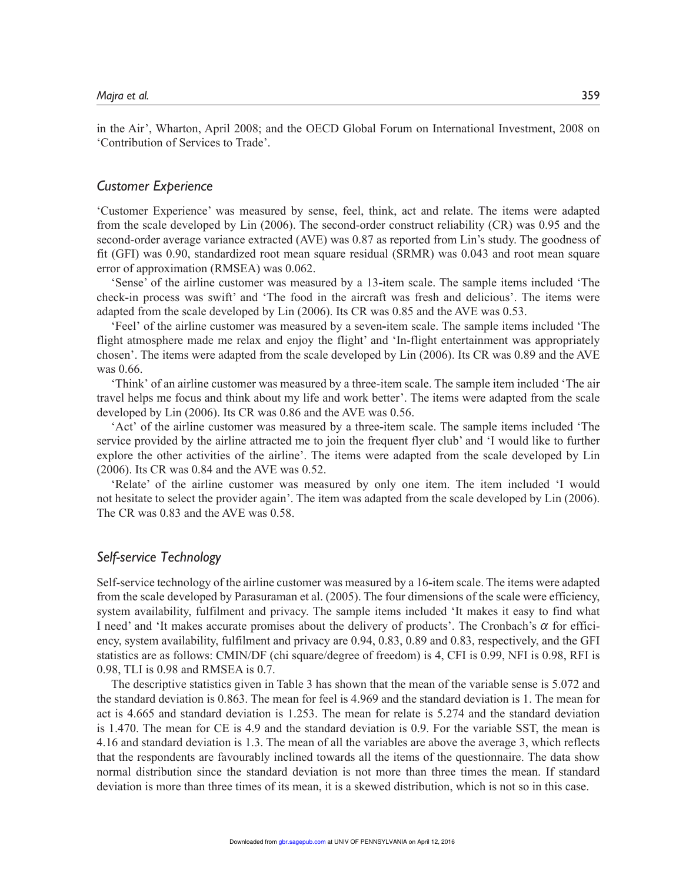in the Air', Wharton, April 2008; and the OECD Global Forum on International Investment, 2008 on 'Contribution of Services to Trade'.

## *Customer Experience*

'Customer Experience' was measured by sense, feel, think, act and relate. The items were adapted from the scale developed by Lin (2006). The second-order construct reliability (CR) was 0.95 and the second-order average variance extracted (AVE) was 0.87 as reported from Lin's study. The goodness of fit (GFI) was 0.90, standardized root mean square residual (SRMR) was 0.043 and root mean square error of approximation (RMSEA) was 0.062.

'Sense' of the airline customer was measured by a 13**-**item scale. The sample items included 'The check-in process was swift' and 'The food in the aircraft was fresh and delicious'. The items were adapted from the scale developed by Lin (2006). Its CR was 0.85 and the AVE was 0.53.

'Feel' of the airline customer was measured by a seven**-**item scale. The sample items included 'The flight atmosphere made me relax and enjoy the flight' and 'In-flight entertainment was appropriately chosen'. The items were adapted from the scale developed by Lin (2006). Its CR was 0.89 and the AVE was 0.66.

'Think' of an airline customer was measured by a three-item scale. The sample item included 'The air travel helps me focus and think about my life and work better'. The items were adapted from the scale developed by Lin (2006). Its CR was 0.86 and the AVE was 0.56.

'Act' of the airline customer was measured by a three**-**item scale. The sample items included 'The service provided by the airline attracted me to join the frequent flyer club' and 'I would like to further explore the other activities of the airline'. The items were adapted from the scale developed by Lin (2006). Its CR was 0.84 and the AVE was 0.52.

'Relate' of the airline customer was measured by only one item. The item included 'I would not hesitate to select the provider again'. The item was adapted from the scale developed by Lin (2006). The CR was 0.83 and the AVE was 0.58.

## *Self-service Technology*

Self-service technology of the airline customer was measured by a 16**-**item scale. The items were adapted from the scale developed by Parasuraman et al. (2005). The four dimensions of the scale were efficiency, system availability, fulfilment and privacy. The sample items included 'It makes it easy to find what I need' and 'It makes accurate promises about the delivery of products'. The Cronbach's  $\alpha$  for efficiency, system availability, fulfilment and privacy are 0.94, 0.83, 0.89 and 0.83, respectively, and the GFI statistics are as follows: CMIN/DF (chi square/degree of freedom) is 4, CFI is 0.99, NFI is 0.98, RFI is 0.98, TLI is 0.98 and RMSEA is 0.7.

The descriptive statistics given in Table 3 has shown that the mean of the variable sense is 5.072 and the standard deviation is 0.863. The mean for feel is 4.969 and the standard deviation is 1. The mean for act is 4.665 and standard deviation is 1.253. The mean for relate is 5.274 and the standard deviation is 1.470. The mean for CE is 4.9 and the standard deviation is 0.9. For the variable SST, the mean is 4.16 and standard deviation is 1.3. The mean of all the variables are above the average 3, which reflects that the respondents are favourably inclined towards all the items of the questionnaire. The data show normal distribution since the standard deviation is not more than three times the mean. If standard deviation is more than three times of its mean, it is a skewed distribution, which is not so in this case.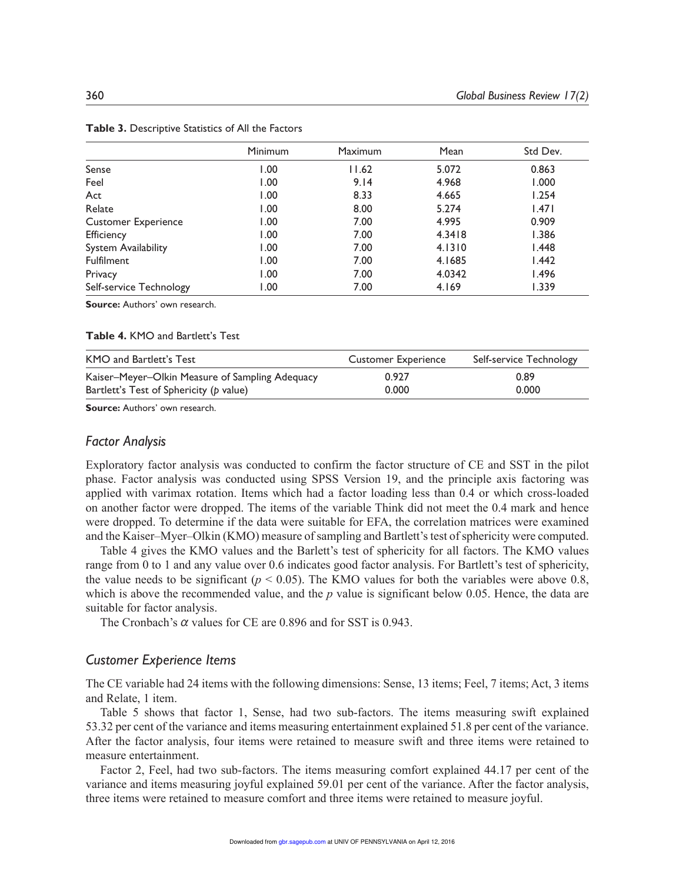|                            | <b>Minimum</b> | Maximum | Mean   | Std Dev.     |
|----------------------------|----------------|---------|--------|--------------|
| Sense                      | 1.00           | 11.62   | 5.072  | 0.863        |
| Feel                       | 1.00           | 9.14    | 4.968  | 1.000        |
| Act                        | 1.00           | 8.33    | 4.665  | 1.254        |
| Relate                     | 1.00           | 8.00    | 5.274  | 1.471        |
| <b>Customer Experience</b> | 1.00           | 7.00    | 4.995  | 0.909        |
| Efficiency                 | 1.00           | 7.00    | 4.3418 | 1.386        |
| <b>System Availability</b> | 1.00           | 7.00    | 4.1310 | 1.448        |
| <b>Fulfilment</b>          | 1.00           | 7.00    | 4.1685 | l.442        |
| Privacy                    | 1.00           | 7.00    | 4.0342 | <b>1.496</b> |
| Self-service Technology    | 1.00           | 7.00    | 4.169  | 1.339        |

**Table 3.** Descriptive Statistics of All the Factors

**Source:** Authors' own research.

#### **Table 4.** KMO and Bartlett's Test

| KMO and Bartlett's Test                         | <b>Customer Experience</b> | Self-service Technology |
|-------------------------------------------------|----------------------------|-------------------------|
| Kaiser–Meyer–Olkin Measure of Sampling Adequacy | 0.927                      | 0.89                    |
| Bartlett's Test of Sphericity (p value)         | 0.000                      | 0.000                   |

**Source:** Authors' own research.

## *Factor Analysis*

Exploratory factor analysis was conducted to confirm the factor structure of CE and SST in the pilot phase. Factor analysis was conducted using SPSS Version 19, and the principle axis factoring was applied with varimax rotation. Items which had a factor loading less than 0.4 or which cross-loaded on another factor were dropped. The items of the variable Think did not meet the 0.4 mark and hence were dropped. To determine if the data were suitable for EFA, the correlation matrices were examined and the Kaiser–Myer–Olkin (KMO) measure of sampling and Bartlett's test of sphericity were computed.

Table 4 gives the KMO values and the Barlett's test of sphericity for all factors. The KMO values range from 0 to 1 and any value over 0.6 indicates good factor analysis. For Bartlett's test of sphericity, the value needs to be significant ( $p < 0.05$ ). The KMO values for both the variables were above 0.8, which is above the recommended value, and the *p* value is significant below 0.05. Hence, the data are suitable for factor analysis.

The Cronbach's  $\alpha$  values for CE are 0.896 and for SST is 0.943.

## *Customer Experience Items*

The CE variable had 24 items with the following dimensions: Sense, 13 items; Feel, 7 items; Act, 3 items and Relate, 1 item.

Table 5 shows that factor 1, Sense, had two sub-factors. The items measuring swift explained 53.32 per cent of the variance and items measuring entertainment explained 51.8 per cent of the variance. After the factor analysis, four items were retained to measure swift and three items were retained to measure entertainment.

Factor 2, Feel, had two sub-factors. The items measuring comfort explained 44.17 per cent of the variance and items measuring joyful explained 59.01 per cent of the variance. After the factor analysis, three items were retained to measure comfort and three items were retained to measure joyful.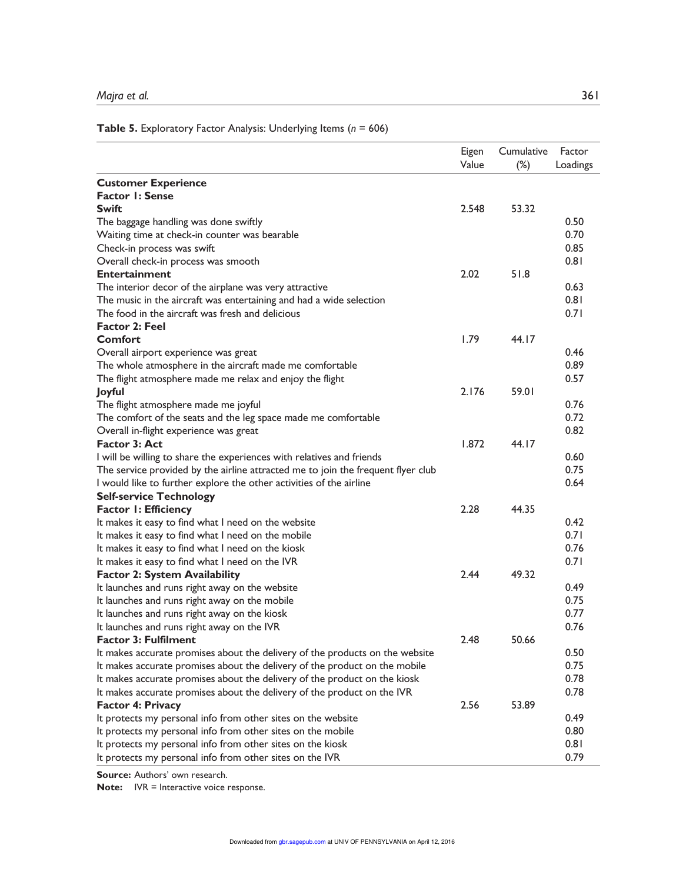## **Table 5.** Exploratory Factor Analysis: Underlying Items (*n* = 606)

|                                                                                  | Eigen<br>Value | Cumulative<br>$(\%)$ | Factor<br>Loadings |
|----------------------------------------------------------------------------------|----------------|----------------------|--------------------|
| <b>Customer Experience</b>                                                       |                |                      |                    |
| <b>Factor 1: Sense</b>                                                           |                |                      |                    |
| <b>Swift</b>                                                                     | 2.548          | 53.32                |                    |
| The baggage handling was done swiftly                                            |                |                      | 0.50               |
| Waiting time at check-in counter was bearable                                    |                |                      | 0.70               |
| Check-in process was swift                                                       |                |                      | 0.85               |
| Overall check-in process was smooth                                              |                |                      | 0.81               |
| <b>Entertainment</b>                                                             | 2.02           | 51.8                 |                    |
| The interior decor of the airplane was very attractive                           |                |                      | 0.63               |
| The music in the aircraft was entertaining and had a wide selection              |                |                      | 0.81               |
| The food in the aircraft was fresh and delicious                                 |                |                      | 0.71               |
| <b>Factor 2: Feel</b>                                                            |                |                      |                    |
| <b>Comfort</b>                                                                   | 1.79           | 44.17                |                    |
| Overall airport experience was great                                             |                |                      | 0.46               |
| The whole atmosphere in the aircraft made me comfortable                         |                |                      | 0.89               |
| The flight atmosphere made me relax and enjoy the flight                         |                |                      | 0.57               |
| Joyful                                                                           | 2.176          | 59.01                |                    |
| The flight atmosphere made me joyful                                             |                |                      | 0.76               |
| The comfort of the seats and the leg space made me comfortable                   |                |                      | 0.72               |
| Overall in-flight experience was great                                           |                |                      | 0.82               |
| <b>Factor 3: Act</b>                                                             | 1.872          | 44.17                |                    |
| I will be willing to share the experiences with relatives and friends            |                |                      | 0.60               |
| The service provided by the airline attracted me to join the frequent flyer club |                |                      | 0.75               |
| I would like to further explore the other activities of the airline              |                |                      | 0.64               |
| <b>Self-service Technology</b>                                                   |                |                      |                    |
| <b>Factor I: Efficiency</b>                                                      | 2.28           | 44.35                |                    |
| It makes it easy to find what I need on the website                              |                |                      | 0.42               |
| It makes it easy to find what I need on the mobile                               |                |                      | 0.71               |
| It makes it easy to find what I need on the kiosk                                |                |                      | 0.76               |
| It makes it easy to find what I need on the IVR                                  |                |                      | 0.71               |
| <b>Factor 2: System Availability</b>                                             | 2.44           | 49.32                |                    |
| It launches and runs right away on the website                                   |                |                      | 0.49               |
| It launches and runs right away on the mobile                                    |                |                      | 0.75               |
| It launches and runs right away on the kiosk                                     |                |                      | 0.77               |
| It launches and runs right away on the IVR                                       |                |                      | 0.76               |
| <b>Factor 3: Fulfilment</b>                                                      | 2.48           | 50.66                |                    |
| It makes accurate promises about the delivery of the products on the website     |                |                      | 0.50               |
| It makes accurate promises about the delivery of the product on the mobile       |                |                      | 0.75               |
| It makes accurate promises about the delivery of the product on the kiosk        |                |                      | 0.78               |
| It makes accurate promises about the delivery of the product on the IVR          |                |                      | 0.78               |
| <b>Factor 4: Privacy</b>                                                         | 2.56           | 53.89                |                    |
| It protects my personal info from other sites on the website                     |                |                      | 0.49               |
| It protects my personal info from other sites on the mobile                      |                |                      | 0.80               |
| It protects my personal info from other sites on the kiosk                       |                |                      | 0.81               |
| It protects my personal info from other sites on the IVR                         |                |                      | 0.79               |

**Source:** Authors' own research.

**Note:** IVR = Interactive voice response.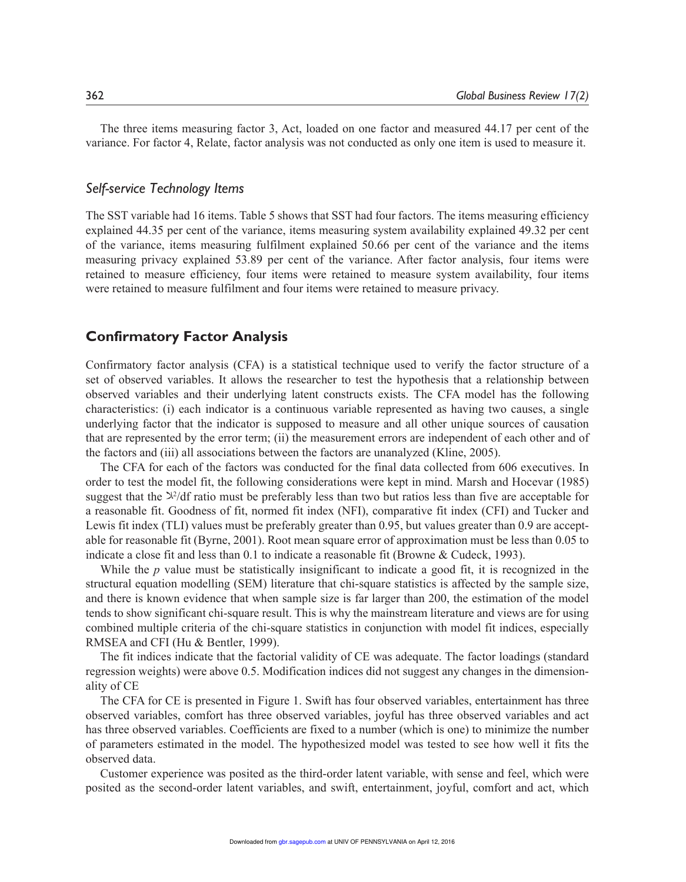The three items measuring factor 3, Act, loaded on one factor and measured 44.17 per cent of the variance. For factor 4, Relate, factor analysis was not conducted as only one item is used to measure it.

## *Self-service Technology Items*

The SST variable had 16 items. Table 5 shows that SST had four factors. The items measuring efficiency explained 44.35 per cent of the variance, items measuring system availability explained 49.32 per cent of the variance, items measuring fulfilment explained 50.66 per cent of the variance and the items measuring privacy explained 53.89 per cent of the variance. After factor analysis, four items were retained to measure efficiency, four items were retained to measure system availability, four items were retained to measure fulfilment and four items were retained to measure privacy.

## **Confirmatory Factor Analysis**

Confirmatory factor analysis (CFA) is a statistical technique used to verify the factor structure of a set of observed variables. It allows the researcher to test the hypothesis that a relationship between observed variables and their underlying latent constructs exists. The CFA model has the following characteristics: (i) each indicator is a continuous variable represented as having two causes, a single underlying factor that the indicator is supposed to measure and all other unique sources of causation that are represented by the error term; (ii) the measurement errors are independent of each other and of the factors and (iii) all associations between the factors are unanalyzed (Kline, 2005).

The CFA for each of the factors was conducted for the final data collected from 606 executives. In order to test the model fit, the following considerations were kept in mind. Marsh and Hocevar (1985) suggest that the  $\frac{1}{2}$  df ratio must be preferably less than two but ratios less than five are acceptable for a reasonable fit. Goodness of fit, normed fit index (NFI), comparative fit index (CFI) and Tucker and Lewis fit index (TLI) values must be preferably greater than 0.95, but values greater than 0.9 are acceptable for reasonable fit (Byrne, 2001). Root mean square error of approximation must be less than 0.05 to indicate a close fit and less than 0.1 to indicate a reasonable fit (Browne & Cudeck, 1993).

While the *p* value must be statistically insignificant to indicate a good fit, it is recognized in the structural equation modelling (SEM) literature that chi-square statistics is affected by the sample size, and there is known evidence that when sample size is far larger than 200, the estimation of the model tends to show significant chi-square result. This is why the mainstream literature and views are for using combined multiple criteria of the chi-square statistics in conjunction with model fit indices, especially RMSEA and CFI (Hu & Bentler, 1999).

The fit indices indicate that the factorial validity of CE was adequate. The factor loadings (standard regression weights) were above 0.5. Modification indices did not suggest any changes in the dimensionality of CE

The CFA for CE is presented in Figure 1. Swift has four observed variables, entertainment has three observed variables, comfort has three observed variables, joyful has three observed variables and act has three observed variables. Coefficients are fixed to a number (which is one) to minimize the number of parameters estimated in the model. The hypothesized model was tested to see how well it fits the observed data.

Customer experience was posited as the third-order latent variable, with sense and feel, which were posited as the second-order latent variables, and swift, entertainment, joyful, comfort and act, which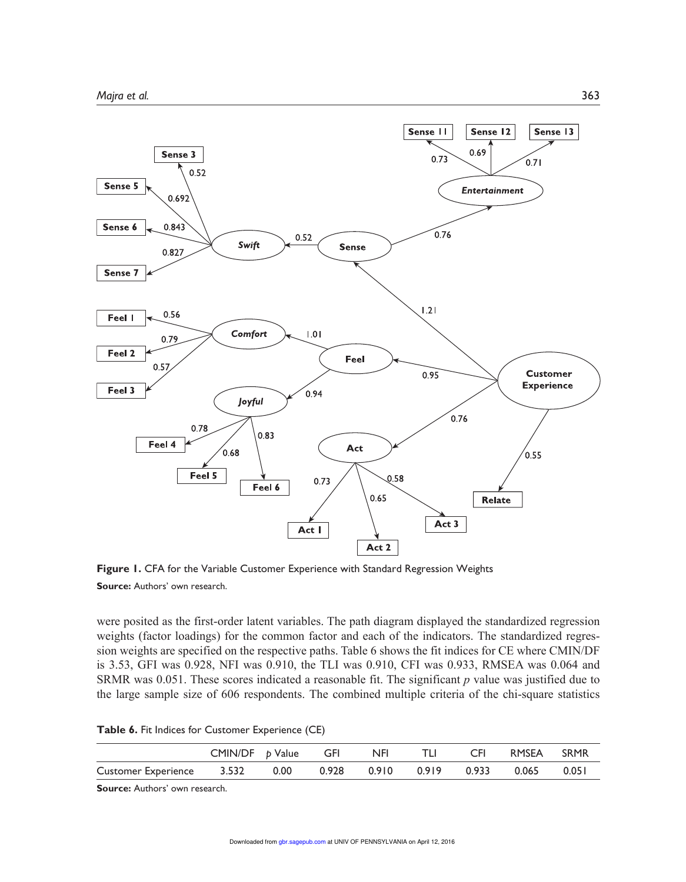

**Figure 1.** CFA for the Variable Customer Experience with Standard Regression Weights **Source:** Authors' own research.

were posited as the first-order latent variables. The path diagram displayed the standardized regression weights (factor loadings) for the common factor and each of the indicators. The standardized regression weights are specified on the respective paths. Table 6 shows the fit indices for CE where CMIN/DF is 3.53, GFI was 0.928, NFI was 0.910, the TLI was 0.910, CFI was 0.933, RMSEA was 0.064 and SRMR was 0.051. These scores indicated a reasonable fit. The significant *p* value was justified due to the large sample size of 606 respondents. The combined multiple criteria of the chi-square statistics

**Table 6.** Fit Indices for Customer Experience (CE)

|                                | $CMIN/DF$ $p$ $Value$ $GFI$ $NFI$ |  |  | CFI RMSEA SRMR |       |
|--------------------------------|-----------------------------------|--|--|----------------|-------|
| Customer Experience 3.532 0.00 |                                   |  |  |                | 0.051 |

**Source:** Authors' own research.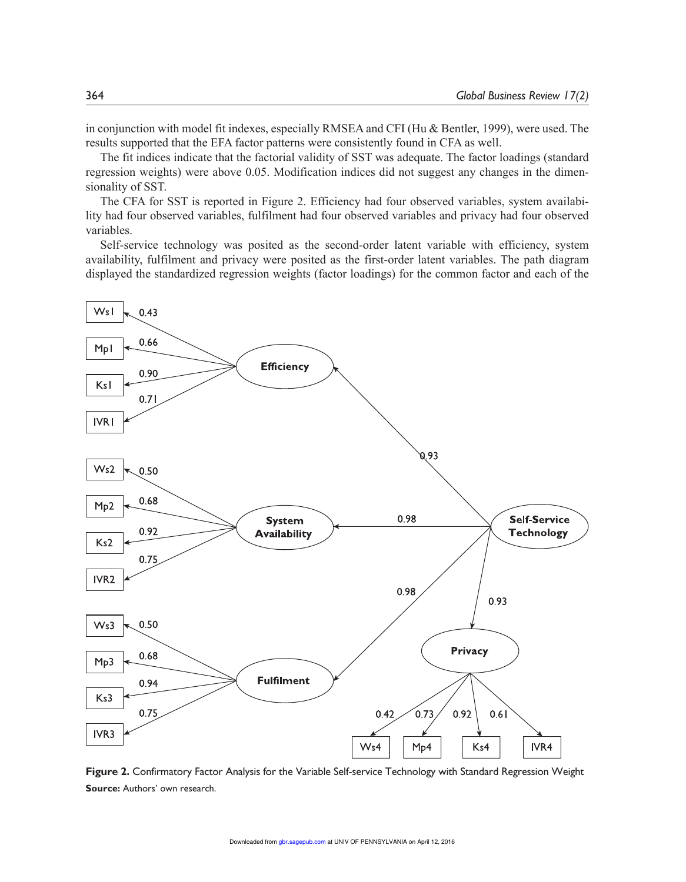in conjunction with model fit indexes, especially RMSEA and CFI (Hu & Bentler, 1999), were used. The results supported that the EFA factor patterns were consistently found in CFA as well.

The fit indices indicate that the factorial validity of SST was adequate. The factor loadings (standard regression weights) were above 0.05. Modification indices did not suggest any changes in the dimensionality of SST.

The CFA for SST is reported in Figure 2. Efficiency had four observed variables, system availability had four observed variables, fulfilment had four observed variables and privacy had four observed variables.

Self-service technology was posited as the second-order latent variable with efficiency, system availability, fulfilment and privacy were posited as the first-order latent variables. The path diagram displayed the standardized regression weights (factor loadings) for the common factor and each of the



**Figure 2.** Confirmatory Factor Analysis for the Variable Self-service Technology with Standard Regression Weight **Source:** Authors' own research.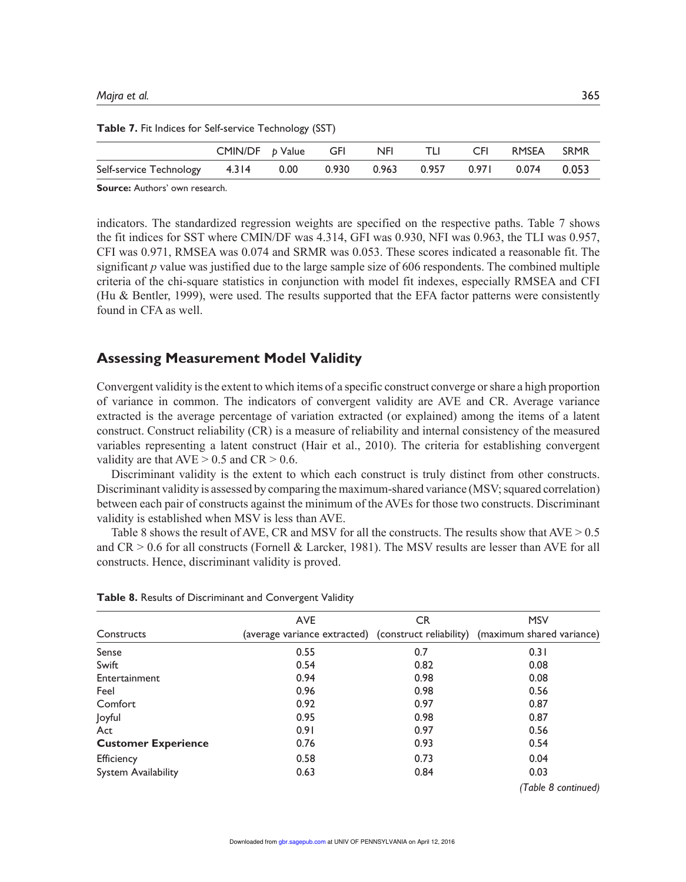|                                                                                | CMIN/DF <i>b</i> Value GFI NFI |  | - TLI - | CFI RMSEA SRMR |  |
|--------------------------------------------------------------------------------|--------------------------------|--|---------|----------------|--|
| Self-service Technology  4.314  0.00  0.930  0.963  0.957  0.971  0.074  0.053 |                                |  |         |                |  |

**Table 7.** Fit Indices for Self-service Technology (SST)

**Source:** Authors' own research.

indicators. The standardized regression weights are specified on the respective paths. Table 7 shows the fit indices for SST where CMIN/DF was 4.314, GFI was 0.930, NFI was 0.963, the TLI was 0.957, CFI was 0.971, RMSEA was 0.074 and SRMR was 0.053. These scores indicated a reasonable fit. The significant *p* value was justified due to the large sample size of 606 respondents. The combined multiple criteria of the chi-square statistics in conjunction with model fit indexes, especially RMSEA and CFI (Hu & Bentler, 1999), were used. The results supported that the EFA factor patterns were consistently found in CFA as well.

# **Assessing Measurement Model Validity**

Convergent validity is the extent to which items of a specific construct converge or share a high proportion of variance in common. The indicators of convergent validity are AVE and CR. Average variance extracted is the average percentage of variation extracted (or explained) among the items of a latent construct. Construct reliability (CR) is a measure of reliability and internal consistency of the measured variables representing a latent construct (Hair et al., 2010). The criteria for establishing convergent validity are that  $AVE > 0.5$  and  $CR > 0.6$ .

Discriminant validity is the extent to which each construct is truly distinct from other constructs. Discriminant validity is assessed by comparing the maximum-shared variance (MSV; squared correlation) between each pair of constructs against the minimum of the AVEs for those two constructs. Discriminant validity is established when MSV is less than AVE.

Table 8 shows the result of AVE, CR and MSV for all the constructs. The results show that  $AVE > 0.5$ and  $CR > 0.6$  for all constructs (Fornell & Larcker, 1981). The MSV results are lesser than AVE for all constructs. Hence, discriminant validity is proved.

|                            | <b>AVE</b> | CR   | <b>MSV</b>                                                                     |
|----------------------------|------------|------|--------------------------------------------------------------------------------|
| Constructs                 |            |      | (average variance extracted) (construct reliability) (maximum shared variance) |
| Sense                      | 0.55       | 0.7  | 0.31                                                                           |
| Swift                      | 0.54       | 0.82 | 0.08                                                                           |
| Entertainment              | 0.94       | 0.98 | 0.08                                                                           |
| Feel                       | 0.96       | 0.98 | 0.56                                                                           |
| Comfort                    | 0.92       | 0.97 | 0.87                                                                           |
| Joyful                     | 0.95       | 0.98 | 0.87                                                                           |
| Act                        | 0.91       | 0.97 | 0.56                                                                           |
| <b>Customer Experience</b> | 0.76       | 0.93 | 0.54                                                                           |
| Efficiency                 | 0.58       | 0.73 | 0.04                                                                           |
| <b>System Availability</b> | 0.63       | 0.84 | 0.03                                                                           |
|                            |            |      | (Table 8 continued)                                                            |

**Table 8.** Results of Discriminant and Convergent Validity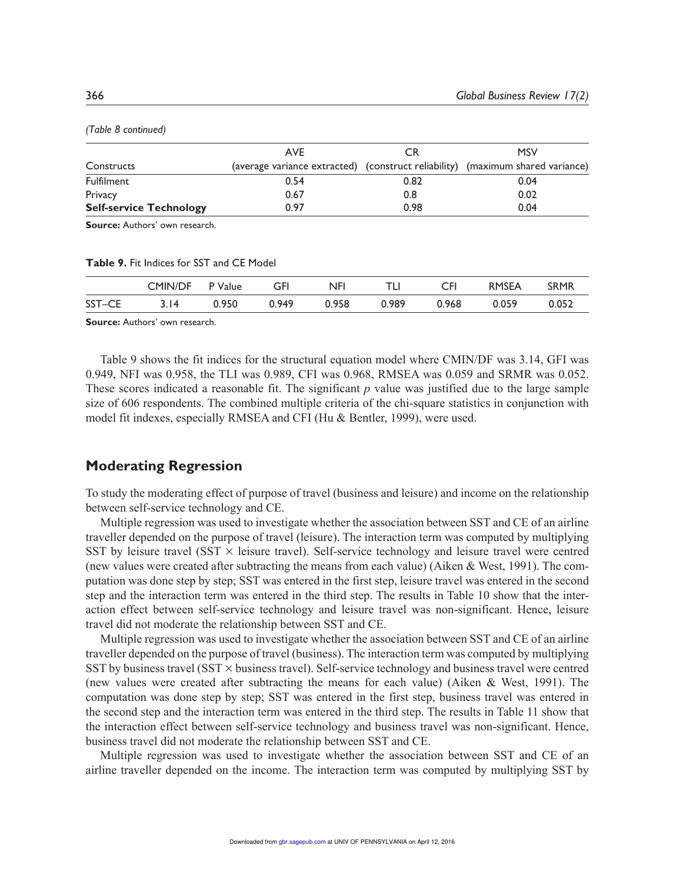|                                | AVE                                                                            | CR   | <b>MSV</b> |  |
|--------------------------------|--------------------------------------------------------------------------------|------|------------|--|
| Constructs                     | (average variance extracted) (construct reliability) (maximum shared variance) |      |            |  |
| <b>Fulfilment</b>              | 0.54                                                                           | 0.82 | 0.04       |  |
| Privacy                        | 0.67                                                                           | 0.8  | 0.02       |  |
| <b>Self-service Technology</b> | 0.97                                                                           | 0.98 | 0.04       |  |
|                                |                                                                                |      |            |  |

*(Table 8 continued)*

**Source:** Authors' own research.

**Table 9.** Fit Indices for SST and CE Model

|        | <b>CMIN/DF</b> | P Value | GFI   | NFI   |       | CFI   | <b>RMSEA</b> | <b>SRMR</b> |
|--------|----------------|---------|-------|-------|-------|-------|--------------|-------------|
| SST-CE | 2 I 4          | 0.950   | 0.949 | 0.958 | 0.989 | 0.968 | 0.059        | 0.052       |

**Source:** Authors' own research.

Table 9 shows the fit indices for the structural equation model where CMIN/DF was 3.14, GFI was 0.949, NFI was 0.958, the TLI was 0.989, CFI was 0.968, RMSEA was 0.059 and SRMR was 0.052. These scores indicated a reasonable fit. The significant *p* value was justified due to the large sample size of 606 respondents. The combined multiple criteria of the chi-square statistics in conjunction with model fit indexes, especially RMSEA and CFI (Hu & Bentler, 1999), were used.

## **Moderating Regression**

To study the moderating effect of purpose of travel (business and leisure) and income on the relationship between self-service technology and CE.

Multiple regression was used to investigate whether the association between SST and CE of an airline traveller depended on the purpose of travel (leisure). The interaction term was computed by multiplying SST by leisure travel (SST  $\times$  leisure travel). Self-service technology and leisure travel were centred (new values were created after subtracting the means from each value) (Aiken & West, 1991). The computation was done step by step; SST was entered in the first step, leisure travel was entered in the second step and the interaction term was entered in the third step. The results in Table 10 show that the interaction effect between self-service technology and leisure travel was non-significant. Hence, leisure travel did not moderate the relationship between SST and CE.

Multiple regression was used to investigate whether the association between SST and CE of an airline traveller depended on the purpose of travel (business). The interaction term was computed by multiplying SST by business travel (SST  $\times$  business travel). Self-service technology and business travel were centred (new values were created after subtracting the means for each value) (Aiken & West, 1991). The computation was done step by step; SST was entered in the first step, business travel was entered in the second step and the interaction term was entered in the third step. The results in Table 11 show that the interaction effect between self-service technology and business travel was non-significant. Hence, business travel did not moderate the relationship between SST and CE.

Multiple regression was used to investigate whether the association between SST and CE of an airline traveller depended on the income. The interaction term was computed by multiplying SST by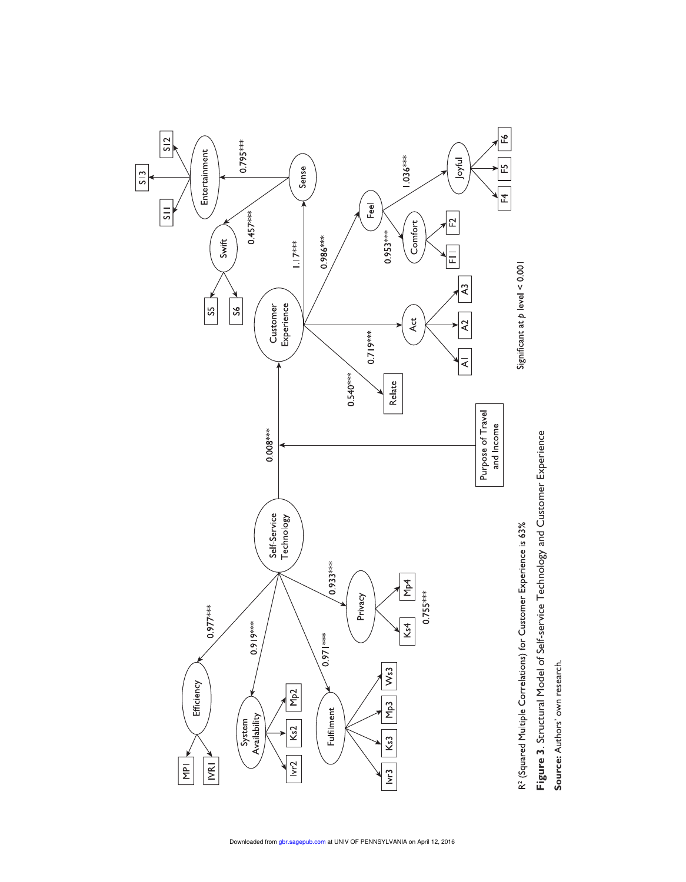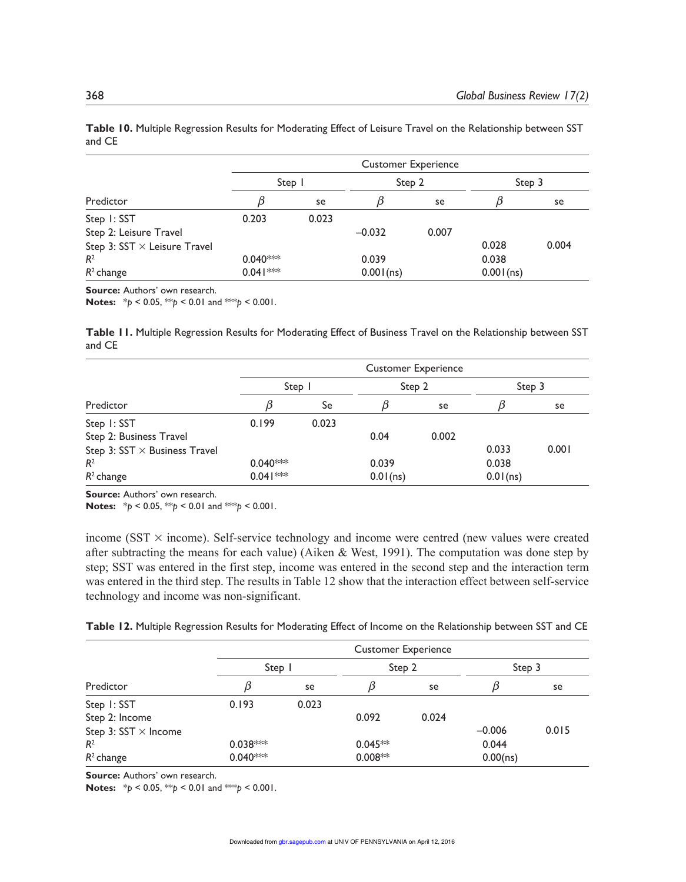|                                     | <b>Customer Experience</b> |       |           |        |           |        |  |  |
|-------------------------------------|----------------------------|-------|-----------|--------|-----------|--------|--|--|
|                                     | Step                       |       |           | Step 2 |           | Step 3 |  |  |
| Predictor                           |                            | se    |           | se     |           | se     |  |  |
| Step 1: SST                         | 0.203                      | 0.023 |           |        |           |        |  |  |
| Step 2: Leisure Travel              |                            |       | $-0.032$  | 0.007  |           |        |  |  |
| Step 3: $SST \times$ Leisure Travel |                            |       |           |        | 0.028     | 0.004  |  |  |
| R <sup>2</sup>                      | $0.040***$                 |       | 0.039     |        | 0.038     |        |  |  |
| $R^2$ change                        | $0.041***$                 |       | 0.001(ns) |        | 0.001(ns) |        |  |  |

**Table 10.** Multiple Regression Results for Moderating Effect of Leisure Travel on the Relationship between SST and CE

**Source:** Authors' own research.

**Notes:**  $*_{p}$  < 0.05,  $*_{p}$  < 0.01 and  $*_{p}$  < 0.001.

**Table 11.** Multiple Regression Results for Moderating Effect of Business Travel on the Relationship between SST and CE

|                                      | <b>Customer Experience</b> |        |             |       |          |        |  |
|--------------------------------------|----------------------------|--------|-------------|-------|----------|--------|--|
|                                      |                            | Step 1 | Step 2      |       |          | Step 3 |  |
| Predictor                            |                            | Se     |             | se    |          | se     |  |
| Step 1: SST                          | 0.199                      | 0.023  |             |       |          |        |  |
| Step 2: Business Travel              |                            |        | 0.04        | 0.002 |          |        |  |
| Step 3: $SST \times$ Business Travel |                            |        |             |       | 0.033    | 0.001  |  |
| $R^2$                                | $0.040***$                 |        | 0.039       |       | 0.038    |        |  |
| $R^2$ change                         | $0.041***$                 |        | $0.01$ (ns) |       | 0.01(ns) |        |  |

**Source:** Authors' own research.

**Notes:**  $* p < 0.05$ ,  $* p < 0.01$  and  $* p < 0.001$ .

income (SST  $\times$  income). Self-service technology and income were centred (new values were created after subtracting the means for each value) (Aiken & West, 1991). The computation was done step by step; SST was entered in the first step, income was entered in the second step and the interaction term was entered in the third step. The results in Table 12 show that the interaction effect between self-service technology and income was non-significant.

|  |  | Table 12. Multiple Regression Results for Moderating Effect of Income on the Relationship between SST and CE |  |  |
|--|--|--------------------------------------------------------------------------------------------------------------|--|--|
|--|--|--------------------------------------------------------------------------------------------------------------|--|--|

|                             | <b>Customer Experience</b> |       |           |       |          |       |  |  |
|-----------------------------|----------------------------|-------|-----------|-------|----------|-------|--|--|
|                             | Step 1                     |       | Step 2    |       | Step 3   |       |  |  |
| Predictor                   |                            | se    |           | se    |          | se    |  |  |
| Step 1: SST                 | 0.193                      | 0.023 |           |       |          |       |  |  |
| Step 2: Income              |                            |       | 0.092     | 0.024 |          |       |  |  |
| Step 3: SST $\times$ Income |                            |       |           |       | $-0.006$ | 0.015 |  |  |
| R <sup>2</sup>              | $0.038***$                 |       | $0.045**$ |       | 0.044    |       |  |  |
| $R^2$ change                | $0.040***$                 |       | $0.008**$ |       | 0.00(ns) |       |  |  |

**Source:** Authors' own research.

**Notes:**  $* p < 0.05$ ,  $* p < 0.01$  and  $* p < 0.001$ .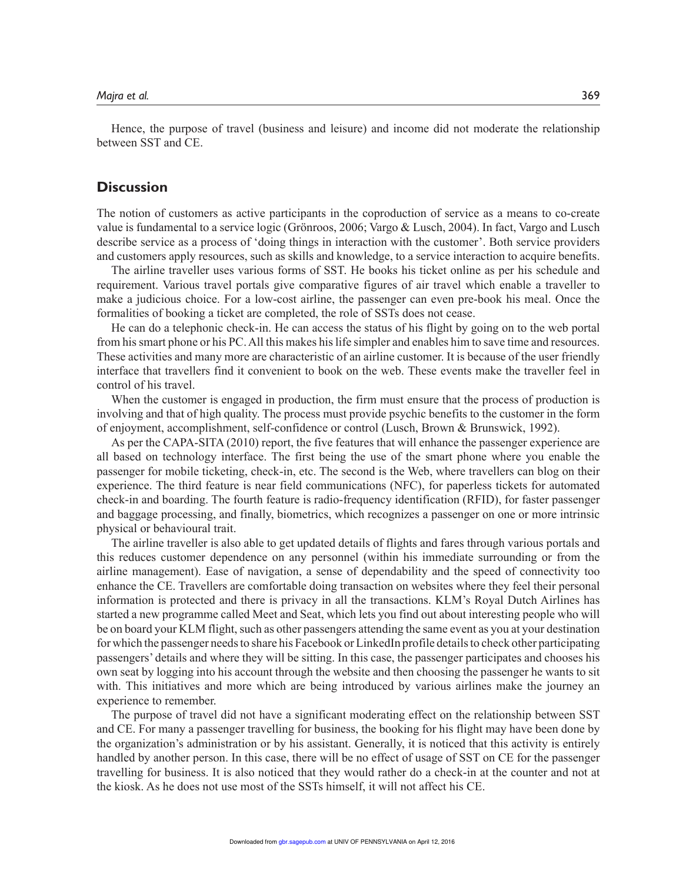Hence, the purpose of travel (business and leisure) and income did not moderate the relationship between SST and CE.

# **Discussion**

The notion of customers as active participants in the coproduction of service as a means to co-create value is fundamental to a service logic (Grönroos, 2006; Vargo & Lusch, 2004). In fact, Vargo and Lusch describe service as a process of 'doing things in interaction with the customer'. Both service providers and customers apply resources, such as skills and knowledge, to a service interaction to acquire benefits.

The airline traveller uses various forms of SST. He books his ticket online as per his schedule and requirement. Various travel portals give comparative figures of air travel which enable a traveller to make a judicious choice. For a low-cost airline, the passenger can even pre-book his meal. Once the formalities of booking a ticket are completed, the role of SSTs does not cease.

He can do a telephonic check-in. He can access the status of his flight by going on to the web portal from his smart phone or his PC. All this makes his life simpler and enables him to save time and resources. These activities and many more are characteristic of an airline customer. It is because of the user friendly interface that travellers find it convenient to book on the web. These events make the traveller feel in control of his travel.

When the customer is engaged in production, the firm must ensure that the process of production is involving and that of high quality. The process must provide psychic benefits to the customer in the form of enjoyment, accomplishment, self-confidence or control (Lusch, Brown & Brunswick, 1992).

As per the CAPA-SITA (2010) report, the five features that will enhance the passenger experience are all based on technology interface. The first being the use of the smart phone where you enable the passenger for mobile ticketing, check-in, etc. The second is the Web, where travellers can blog on their experience. The third feature is near field communications (NFC), for paperless tickets for automated check-in and boarding. The fourth feature is radio-frequency identification (RFID), for faster passenger and baggage processing, and finally, biometrics, which recognizes a passenger on one or more intrinsic physical or behavioural trait.

The airline traveller is also able to get updated details of flights and fares through various portals and this reduces customer dependence on any personnel (within his immediate surrounding or from the airline management). Ease of navigation, a sense of dependability and the speed of connectivity too enhance the CE. Travellers are comfortable doing transaction on websites where they feel their personal information is protected and there is privacy in all the transactions. KLM's Royal Dutch Airlines has started a new programme called Meet and Seat, which lets you find out about interesting people who will be on board your KLM flight, such as other passengers attending the same event as you at your destination for which the passenger needs to share his Facebook or LinkedIn profile details to check other participating passengers' details and where they will be sitting. In this case, the passenger participates and chooses his own seat by logging into his account through the website and then choosing the passenger he wants to sit with. This initiatives and more which are being introduced by various airlines make the journey an experience to remember.

The purpose of travel did not have a significant moderating effect on the relationship between SST and CE. For many a passenger travelling for business, the booking for his flight may have been done by the organization's administration or by his assistant. Generally, it is noticed that this activity is entirely handled by another person. In this case, there will be no effect of usage of SST on CE for the passenger travelling for business. It is also noticed that they would rather do a check-in at the counter and not at the kiosk. As he does not use most of the SSTs himself, it will not affect his CE.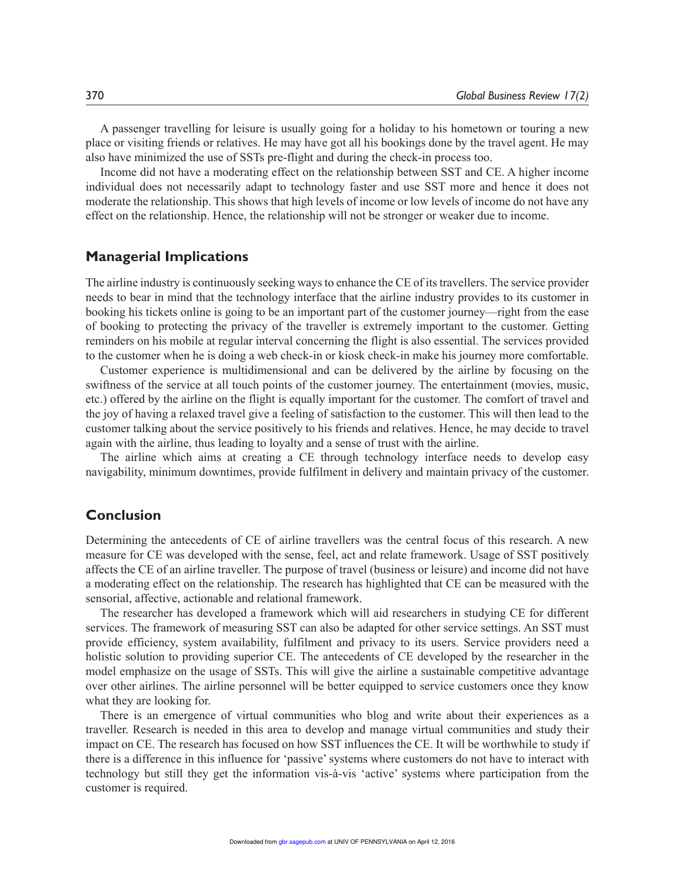A passenger travelling for leisure is usually going for a holiday to his hometown or touring a new place or visiting friends or relatives. He may have got all his bookings done by the travel agent. He may also have minimized the use of SSTs pre-flight and during the check-in process too.

Income did not have a moderating effect on the relationship between SST and CE. A higher income individual does not necessarily adapt to technology faster and use SST more and hence it does not moderate the relationship. This shows that high levels of income or low levels of income do not have any effect on the relationship. Hence, the relationship will not be stronger or weaker due to income.

## **Managerial Implications**

The airline industry is continuously seeking ways to enhance the CE of its travellers. The service provider needs to bear in mind that the technology interface that the airline industry provides to its customer in booking his tickets online is going to be an important part of the customer journey—right from the ease of booking to protecting the privacy of the traveller is extremely important to the customer. Getting reminders on his mobile at regular interval concerning the flight is also essential. The services provided to the customer when he is doing a web check-in or kiosk check-in make his journey more comfortable.

Customer experience is multidimensional and can be delivered by the airline by focusing on the swiftness of the service at all touch points of the customer journey. The entertainment (movies, music, etc.) offered by the airline on the flight is equally important for the customer. The comfort of travel and the joy of having a relaxed travel give a feeling of satisfaction to the customer. This will then lead to the customer talking about the service positively to his friends and relatives. Hence, he may decide to travel again with the airline, thus leading to loyalty and a sense of trust with the airline.

The airline which aims at creating a CE through technology interface needs to develop easy navigability, minimum downtimes, provide fulfilment in delivery and maintain privacy of the customer.

# **Conclusion**

Determining the antecedents of CE of airline travellers was the central focus of this research. A new measure for CE was developed with the sense, feel, act and relate framework. Usage of SST positively affects the CE of an airline traveller. The purpose of travel (business or leisure) and income did not have a moderating effect on the relationship. The research has highlighted that CE can be measured with the sensorial, affective, actionable and relational framework.

The researcher has developed a framework which will aid researchers in studying CE for different services. The framework of measuring SST can also be adapted for other service settings. An SST must provide efficiency, system availability, fulfilment and privacy to its users. Service providers need a holistic solution to providing superior CE. The antecedents of CE developed by the researcher in the model emphasize on the usage of SSTs. This will give the airline a sustainable competitive advantage over other airlines. The airline personnel will be better equipped to service customers once they know what they are looking for.

There is an emergence of virtual communities who blog and write about their experiences as a traveller. Research is needed in this area to develop and manage virtual communities and study their impact on CE. The research has focused on how SST influences the CE. It will be worthwhile to study if there is a difference in this influence for 'passive' systems where customers do not have to interact with technology but still they get the information vis-à-vis 'active' systems where participation from the customer is required.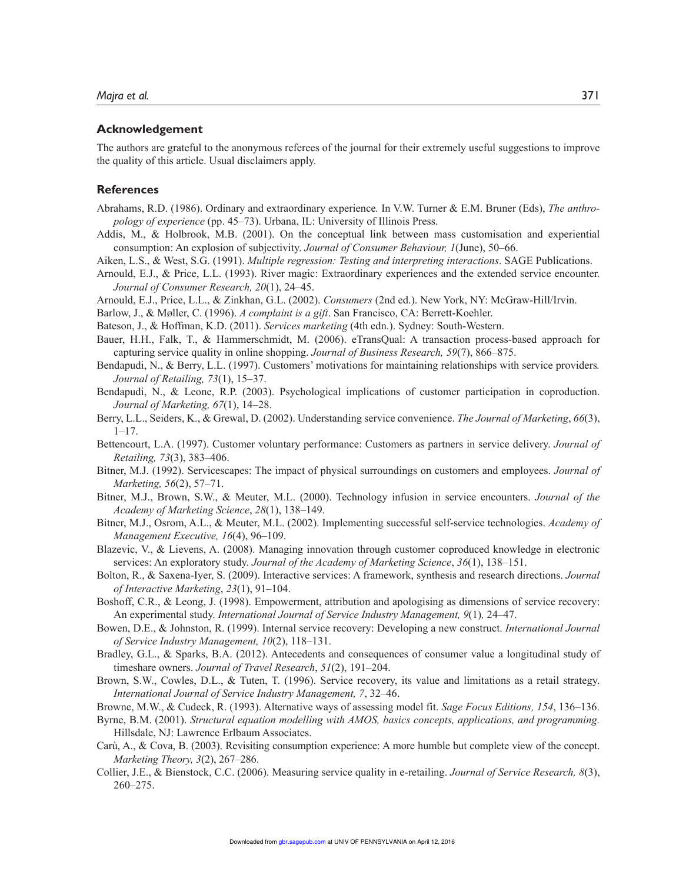#### **Acknowledgement**

The authors are grateful to the anonymous referees of the journal for their extremely useful suggestions to improve the quality of this article. Usual disclaimers apply.

## **References**

- Abrahams, R.D. (1986). Ordinary and extraordinary experience*.* In V.W. Turner & E.M. Bruner (Eds), *The anthropology of experience* (pp. 45–73). Urbana, IL: University of Illinois Press.
- Addis, M., & Holbrook, M.B. (2001). On the conceptual link between mass customisation and experiential consumption: An explosion of subjectivity. *Journal of Consumer Behaviour, 1*(June), 50–66.
- Aiken, L.S., & West, S.G. (1991). *Multiple regression: Testing and interpreting interactions*. SAGE Publications.
- Arnould, E.J., & Price, L.L. (1993). River magic: Extraordinary experiences and the extended service encounter. *Journal of Consumer Research, 20*(1), 24–45.
- Arnould, E.J., Price, L.L., & Zinkhan, G.L. (2002). *Consumers* (2nd ed.). New York, NY: McGraw-Hill/Irvin.
- Barlow, J., & Møller, C. (1996). *A complaint is a gift*. San Francisco, CA: Berrett-Koehler.
- Bateson, J., & Hoffman, K.D. (2011). *Services marketing* (4th edn.). Sydney: South-Western.
- Bauer, H.H., Falk, T., & Hammerschmidt, M. (2006). eTransQual: A transaction process-based approach for capturing service quality in online shopping. *Journal of Business Research, 59*(7), 866–875.
- Bendapudi, N., & Berry, L.L. (1997). Customers' motivations for maintaining relationships with service providers*. Journal of Retailing, 73*(1), 15–37.
- Bendapudi, N., & Leone, R.P. (2003). Psychological implications of customer participation in coproduction. *Journal of Marketing, 67*(1), 14–28.
- Berry, L.L., Seiders, K., & Grewal, D. (2002). Understanding service convenience. *The Journal of Marketing*, *66*(3),  $1 - 17$ .
- Bettencourt, L.A. (1997). Customer voluntary performance: Customers as partners in service delivery. *Journal of Retailing, 73*(3), 383–406.
- Bitner, M.J. (1992). Servicescapes: The impact of physical surroundings on customers and employees. *Journal of Marketing, 56*(2), 57–71.
- Bitner, M.J., Brown, S.W., & Meuter, M.L. (2000). Technology infusion in service encounters. *Journal of the Academy of Marketing Science*, *28*(1), 138–149.
- Bitner, M.J., Osrom, A.L., & Meuter, M.L. (2002). Implementing successful self-service technologies. *Academy of Management Executive, 16*(4), 96–109.
- Blazevic, V., & Lievens, A. (2008). Managing innovation through customer coproduced knowledge in electronic services: An exploratory study. *Journal of the Academy of Marketing Science*, *36*(1), 138–151.
- Bolton, R., & Saxena-Iyer, S. (2009). Interactive services: A framework, synthesis and research directions. *Journal of Interactive Marketing*, *23*(1), 91–104.
- Boshoff, C.R., & Leong, J. (1998). Empowerment, attribution and apologising as dimensions of service recovery: An experimental study. *International Journal of Service Industry Management, 9*(1)*,* 24–47.
- Bowen, D.E., & Johnston, R. (1999). Internal service recovery: Developing a new construct. *International Journal of Service Industry Management, 10*(2), 118–131.
- Bradley, G.L., & Sparks, B.A. (2012). Antecedents and consequences of consumer value a longitudinal study of timeshare owners. *Journal of Travel Research*, *51*(2), 191–204.
- Brown, S.W., Cowles, D.L., & Tuten, T. (1996). Service recovery, its value and limitations as a retail strategy. *International Journal of Service Industry Management, 7*, 32–46.
- Browne, M.W., & Cudeck, R. (1993). Alternative ways of assessing model fit. *Sage Focus Editions, 154*, 136–136.
- Byrne, B.M. (2001). *Structural equation modelling with AMOS, basics concepts, applications, and programming.* Hillsdale, NJ: Lawrence Erlbaum Associates.
- Carù, A., & Cova, B. (2003). Revisiting consumption experience: A more humble but complete view of the concept. *Marketing Theory, 3*(2), 267–286.
- Collier, J.E., & Bienstock, C.C. (2006). Measuring service quality in e-retailing. *Journal of Service Research, 8*(3), 260–275.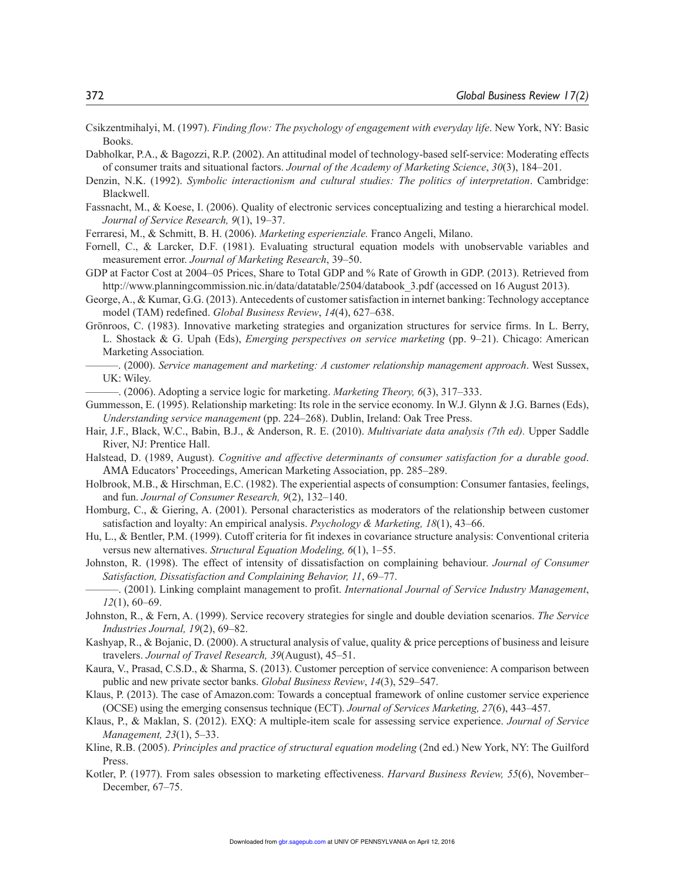- Csikzentmihalyi, M. (1997). *Finding flow: The psychology of engagement with everyday life*. New York, NY: Basic Books.
- Dabholkar, P.A., & Bagozzi, R.P. (2002). An attitudinal model of technology-based self-service: Moderating effects of consumer traits and situational factors. *Journal of the Academy of Marketing Science*, *30*(3), 184–201.
- Denzin, N.K. (1992). *Symbolic interactionism and cultural studies: The politics of interpretation*. Cambridge: Blackwell.
- Fassnacht, M., & Koese, I. (2006). Quality of electronic services conceptualizing and testing a hierarchical model. *Journal of Service Research, 9*(1), 19–37.
- Ferraresi, M., & Schmitt, B. H. (2006). *Marketing esperienziale.* Franco Angeli, Milano.
- Fornell, C., & Larcker, D.F. (1981). Evaluating structural equation models with unobservable variables and measurement error. *Journal of Marketing Research*, 39–50.
- GDP at Factor Cost at 2004–05 Prices, Share to Total GDP and % Rate of Growth in GDP. (2013). Retrieved from http://www.planningcommission.nic.in/data/datatable/2504/databook 3.pdf (accessed on 16 August 2013).
- George, A., & Kumar, G.G. (2013). Antecedents of customer satisfaction in internet banking: Technology acceptance model (TAM) redefined. *Global Business Review*, *14*(4), 627–638.
- Grönroos, C. (1983). Innovative marketing strategies and organization structures for service firms. In L. Berry, L. Shostack & G. Upah (Eds), *Emerging perspectives on service marketing* (pp. 9–21). Chicago: American Marketing Association*.*
	- ———. (2000). *Service management and marketing: A customer relationship management approach*. West Sussex, UK: Wiley.
	- ———. (2006). Adopting a service logic for marketing. *Marketing Theory, 6*(3), 317–333.
- Gummesson, E. (1995). Relationship marketing: Its role in the service economy. In W.J. Glynn & J.G. Barnes (Eds), *Understanding service management* (pp. 224–268). Dublin, Ireland: Oak Tree Press.
- Hair, J.F., Black, W.C., Babin, B.J., & Anderson, R. E. (2010). *Multivariate data analysis (7th ed).* Upper Saddle River, NJ: Prentice Hall.
- Halstead, D. (1989, August). *Cognitive and affective determinants of consumer satisfaction for a durable good*. AΜA Educators' Proceedings, American Marketing Association, pp. 285–289.
- Holbrook, M.B., & Hirschman, E.C. (1982). The experiential aspects of consumption: Consumer fantasies, feelings, and fun. *Journal of Consumer Research, 9*(2), 132–140.
- Homburg, C., & Giering, A. (2001). Personal characteristics as moderators of the relationship between customer satisfaction and loyalty: An empirical analysis. *Psychology & Marketing, 18*(1), 43–66.
- Hu, L., & Bentler, P.M. (1999). Cutoff criteria for fit indexes in covariance structure analysis: Conventional criteria versus new alternatives. *Structural Equation Modeling, 6*(1), 1–55.
- Johnston, R. (1998). The effect of intensity of dissatisfaction on complaining behaviour. *Journal of Consumer Satisfaction, Dissatisfaction and Complaining Behavior, 11*, 69–77.
- ———. (2001). Linking complaint management to profit. *International Journal of Service Industry Management*, *12*(1), 60–69.
- Johnston, R., & Fern, A. (1999). Service recovery strategies for single and double deviation scenarios. *The Service Industries Journal, 19*(2), 69–82.
- Kashyap, R., & Bojanic, D. (2000). A structural analysis of value, quality & price perceptions of business and leisure travelers. *Journal of Travel Research, 39*(August), 45–51.
- Kaura, V., Prasad, C.S.D., & Sharma, S. (2013). Customer perception of service convenience: A comparison between public and new private sector banks. *Global Business Review*, *14*(3), 529–547.
- Klaus, P. (2013). The case of Amazon.com: Towards a conceptual framework of online customer service experience (OCSE) using the emerging consensus technique (ECT). *Journal of Services Marketing, 27*(6), 443–457.
- Klaus, P., & Maklan, S. (2012). EXQ: A multiple-item scale for assessing service experience. *Journal of Service Management, 23*(1), 5–33.
- Kline, R.B. (2005). *Principles and practice of structural equation modeling* (2nd ed.) New York, NY: The Guilford Press.
- Kotler, P. (1977). From sales obsession to marketing effectiveness. *Harvard Business Review, 55*(6), November– December, 67–75.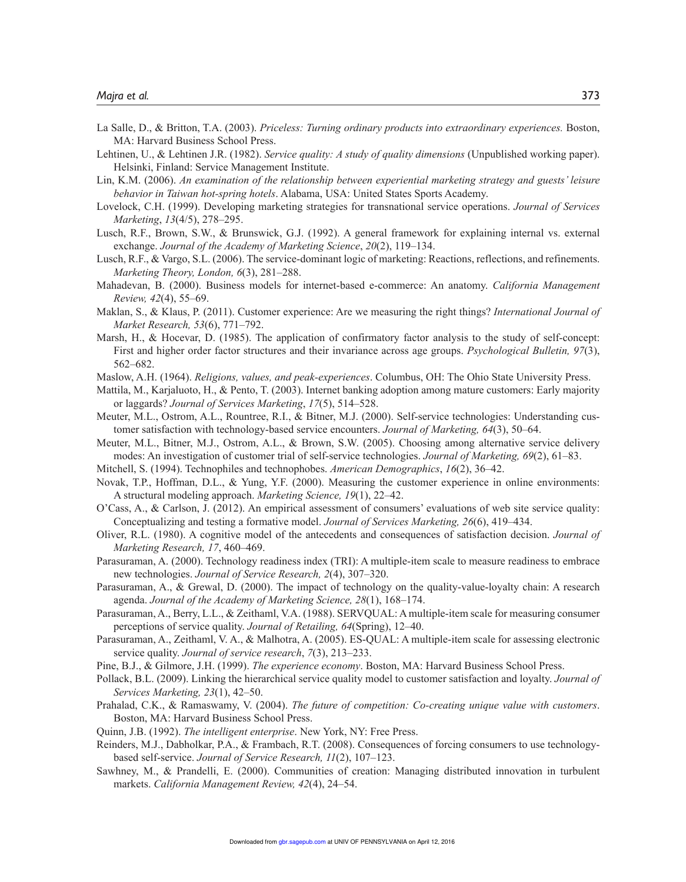- La Salle, D., & Britton, T.A. (2003). *Priceless: Turning ordinary products into extraordinary experiences.* Boston, MA: Harvard Business School Press.
- Lehtinen, U., & Lehtinen J.R. (1982). *Service quality: A study of quality dimensions* (Unpublished working paper). Helsinki, Finland: Service Management Institute.
- Lin, K.M. (2006). *An examination of the relationship between experiential marketing strategy and guests' leisure behavior in Taiwan hot-spring hotels*. Alabama, USA: United States Sports Academy.
- Lovelock, C.H. (1999). Developing marketing strategies for transnational service operations. *Journal of Services Marketing*, *13*(4/5), 278–295.
- Lusch, R.F., Brown, S.W., & Brunswick, G.J. (1992). A general framework for explaining internal vs. external exchange. *Journal of the Academy of Marketing Science*, *20*(2), 119–134.
- Lusch, R.F., & Vargo, S.L. (2006). The service-dominant logic of marketing: Reactions, reflections, and refinements. *Marketing Theory, London, 6*(3), 281–288.
- Mahadevan, B. (2000). Business models for internet-based e-commerce: An anatomy. *California Management Review, 42*(4), 55–69.
- Maklan, S., & Klaus, P. (2011). Customer experience: Are we measuring the right things? *International Journal of Market Research, 53*(6), 771–792.
- Marsh, H., & Hocevar, D. (1985). The application of confirmatory factor analysis to the study of self-concept: First and higher order factor structures and their invariance across age groups. *Psychological Bulletin, 97*(3), 562–682.
- Maslow, A.H. (1964). *Religions, values, and peak-experiences*. Columbus, OH: The Ohio State University Press.
- Mattila, M., Karjaluoto, H., & Pento, T. (2003). Internet banking adoption among mature customers: Early majority or laggards? *Journal of Services Marketing*, *17*(5), 514–528.
- Meuter, M.L., Ostrom, A.L., Rountree, R.I., & Bitner, M.J. (2000). Self-service technologies: Understanding customer satisfaction with technology-based service encounters. *Journal of Marketing, 64*(3), 50–64.
- Meuter, M.L., Bitner, M.J., Ostrom, A.L., & Brown, S.W. (2005). Choosing among alternative service delivery modes: An investigation of customer trial of self-service technologies. *Journal of Marketing, 69*(2), 61–83.
- Mitchell, S. (1994). Technophiles and technophobes. *American Demographics*, *16*(2), 36–42.
- Novak, T.P., Hoffman, D.L., & Yung, Y.F. (2000). Measuring the customer experience in online environments: A structural modeling approach. *Marketing Science, 19*(1), 22–42.
- O'Cass, A., & Carlson, J. (2012). An empirical assessment of consumers' evaluations of web site service quality: Conceptualizing and testing a formative model. *Journal of Services Marketing, 26*(6), 419–434.
- Oliver, R.L. (1980). A cognitive model of the antecedents and consequences of satisfaction decision. *Journal of Marketing Research, 17*, 460–469.
- Parasuraman, A. (2000). Technology readiness index (TRI): A multiple-item scale to measure readiness to embrace new technologies. *Journal of Service Research, 2*(4), 307–320.
- Parasuraman, A., & Grewal, D. (2000). The impact of technology on the quality-value-loyalty chain: A research agenda. *Journal of the Academy of Marketing Science, 28*(1), 168–174.
- Parasuraman, A., Berry, L.L., & Zeithaml, V.A. (1988). SERVQUAL: A multiple-item scale for measuring consumer perceptions of service quality. *Journal of Retailing, 64*(Spring), 12–40.
- Parasuraman, A., Zeithaml, V. A., & Malhotra, A. (2005). ES-QUAL: A multiple-item scale for assessing electronic service quality. *Journal of service research*, *7*(3), 213–233.
- Pine, B.J., & Gilmore, J.H. (1999). *The experience economy*. Boston, MA: Harvard Business School Press.
- Pollack, B.L. (2009). Linking the hierarchical service quality model to customer satisfaction and loyalty. *Journal of Services Marketing, 23*(1), 42–50.
- Prahalad, C.K., & Ramaswamy, V. (2004). *The future of competition: Co-creating unique value with customers*. Boston, MA: Harvard Business School Press.
- Quinn, J.B. (1992). *The intelligent enterprise*. New York, NY: Free Press.
- Reinders, M.J., Dabholkar, P.A., & Frambach, R.T. (2008). Consequences of forcing consumers to use technologybased self-service. *Journal of Service Research, 11*(2), 107–123.
- Sawhney, M., & Prandelli, E. (2000). Communities of creation: Managing distributed innovation in turbulent markets. *California Management Review, 42*(4), 24–54.